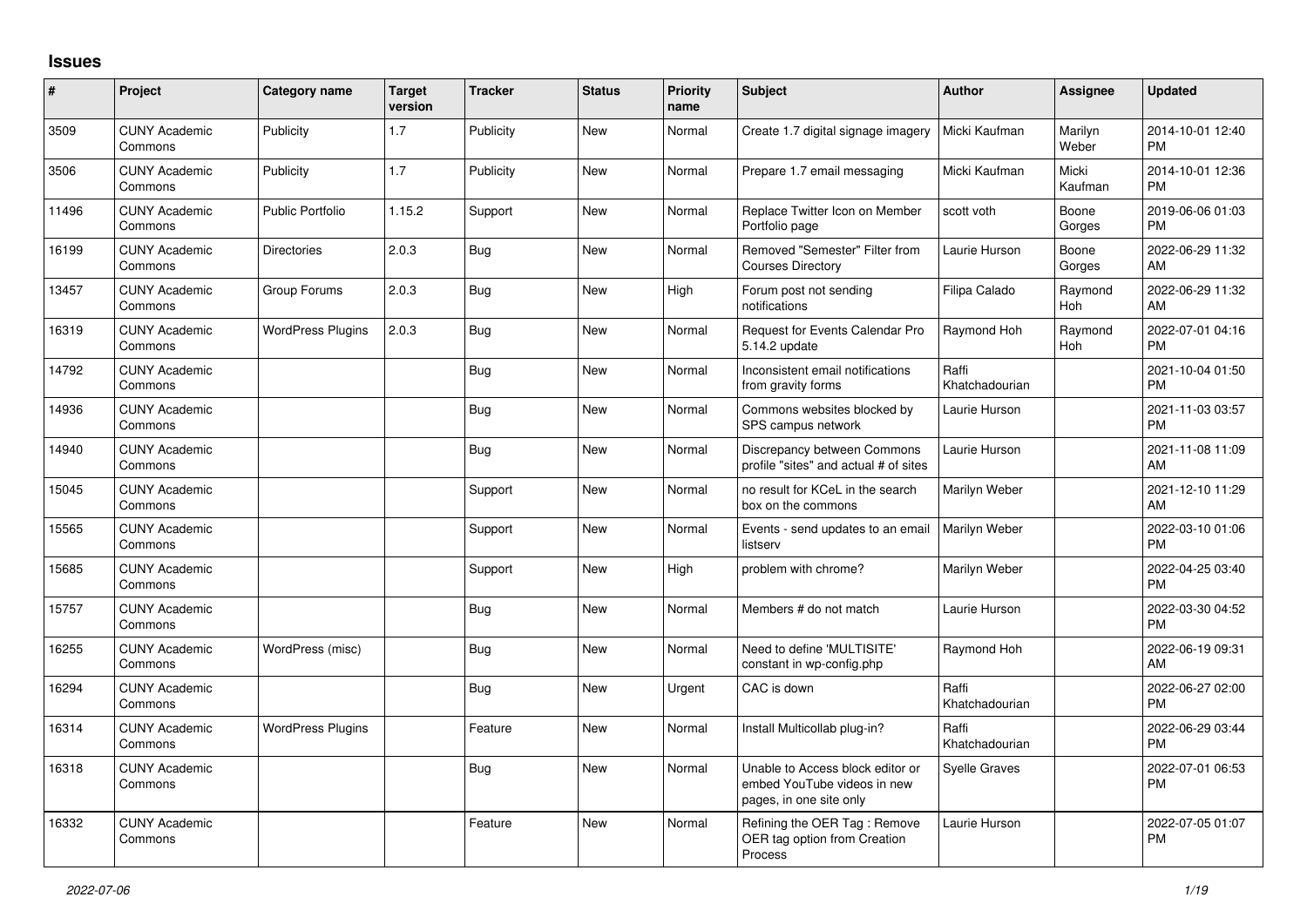## **Issues**

| #     | <b>Project</b>                  | <b>Category name</b>     | <b>Target</b><br>version | <b>Tracker</b> | <b>Status</b> | <b>Priority</b><br>name | <b>Subject</b>                                                                             | <b>Author</b>           | <b>Assignee</b>  | <b>Updated</b>                |
|-------|---------------------------------|--------------------------|--------------------------|----------------|---------------|-------------------------|--------------------------------------------------------------------------------------------|-------------------------|------------------|-------------------------------|
| 3509  | <b>CUNY Academic</b><br>Commons | Publicity                | 1.7                      | Publicity      | New           | Normal                  | Create 1.7 digital signage imagery                                                         | Micki Kaufman           | Marilyn<br>Weber | 2014-10-01 12:40<br><b>PM</b> |
| 3506  | <b>CUNY Academic</b><br>Commons | Publicity                | 1.7                      | Publicity      | <b>New</b>    | Normal                  | Prepare 1.7 email messaging                                                                | Micki Kaufman           | Micki<br>Kaufman | 2014-10-01 12:36<br><b>PM</b> |
| 11496 | <b>CUNY Academic</b><br>Commons | <b>Public Portfolio</b>  | 1.15.2                   | Support        | <b>New</b>    | Normal                  | Replace Twitter Icon on Member<br>Portfolio page                                           | scott voth              | Boone<br>Gorges  | 2019-06-06 01:03<br>PM        |
| 16199 | <b>CUNY Academic</b><br>Commons | <b>Directories</b>       | 2.0.3                    | <b>Bug</b>     | <b>New</b>    | Normal                  | Removed "Semester" Filter from<br><b>Courses Directory</b>                                 | Laurie Hurson           | Boone<br>Gorges  | 2022-06-29 11:32<br>AM        |
| 13457 | <b>CUNY Academic</b><br>Commons | Group Forums             | 2.0.3                    | <b>Bug</b>     | <b>New</b>    | High                    | Forum post not sending<br>notifications                                                    | Filipa Calado           | Raymond<br>Hoh   | 2022-06-29 11:32<br>AM        |
| 16319 | <b>CUNY Academic</b><br>Commons | <b>WordPress Plugins</b> | 2.0.3                    | <b>Bug</b>     | <b>New</b>    | Normal                  | Request for Events Calendar Pro<br>5.14.2 update                                           | Raymond Hoh             | Raymond<br>Hoh   | 2022-07-01 04:16<br><b>PM</b> |
| 14792 | <b>CUNY Academic</b><br>Commons |                          |                          | <b>Bug</b>     | New           | Normal                  | Inconsistent email notifications<br>from gravity forms                                     | Raffi<br>Khatchadourian |                  | 2021-10-04 01:50<br><b>PM</b> |
| 14936 | <b>CUNY Academic</b><br>Commons |                          |                          | Bug            | <b>New</b>    | Normal                  | Commons websites blocked by<br>SPS campus network                                          | Laurie Hurson           |                  | 2021-11-03 03:57<br><b>PM</b> |
| 14940 | <b>CUNY Academic</b><br>Commons |                          |                          | <b>Bug</b>     | <b>New</b>    | Normal                  | Discrepancy between Commons<br>profile "sites" and actual # of sites                       | Laurie Hurson           |                  | 2021-11-08 11:09<br>AM        |
| 15045 | <b>CUNY Academic</b><br>Commons |                          |                          | Support        | <b>New</b>    | Normal                  | no result for KCeL in the search<br>box on the commons                                     | Marilyn Weber           |                  | 2021-12-10 11:29<br>AM        |
| 15565 | <b>CUNY Academic</b><br>Commons |                          |                          | Support        | <b>New</b>    | Normal                  | Events - send updates to an email<br>listserv                                              | Marilyn Weber           |                  | 2022-03-10 01:06<br><b>PM</b> |
| 15685 | <b>CUNY Academic</b><br>Commons |                          |                          | Support        | <b>New</b>    | High                    | problem with chrome?                                                                       | Marilyn Weber           |                  | 2022-04-25 03:40<br><b>PM</b> |
| 15757 | <b>CUNY Academic</b><br>Commons |                          |                          | <b>Bug</b>     | New           | Normal                  | Members # do not match                                                                     | Laurie Hurson           |                  | 2022-03-30 04:52<br>PM        |
| 16255 | <b>CUNY Academic</b><br>Commons | WordPress (misc)         |                          | <b>Bug</b>     | <b>New</b>    | Normal                  | Need to define 'MULTISITE'<br>constant in wp-config.php                                    | Raymond Hoh             |                  | 2022-06-19 09:31<br>AM        |
| 16294 | <b>CUNY Academic</b><br>Commons |                          |                          | <b>Bug</b>     | <b>New</b>    | Urgent                  | CAC is down                                                                                | Raffi<br>Khatchadourian |                  | 2022-06-27 02:00<br><b>PM</b> |
| 16314 | <b>CUNY Academic</b><br>Commons | <b>WordPress Plugins</b> |                          | Feature        | <b>New</b>    | Normal                  | Install Multicollab plug-in?                                                               | Raffi<br>Khatchadourian |                  | 2022-06-29 03:44<br><b>PM</b> |
| 16318 | <b>CUNY Academic</b><br>Commons |                          |                          | <b>Bug</b>     | New           | Normal                  | Unable to Access block editor or<br>embed YouTube videos in new<br>pages, in one site only | <b>Syelle Graves</b>    |                  | 2022-07-01 06:53<br>PM        |
| 16332 | <b>CUNY Academic</b><br>Commons |                          |                          | Feature        | <b>New</b>    | Normal                  | Refining the OER Tag: Remove<br>OER tag option from Creation<br>Process                    | Laurie Hurson           |                  | 2022-07-05 01:07<br>PM        |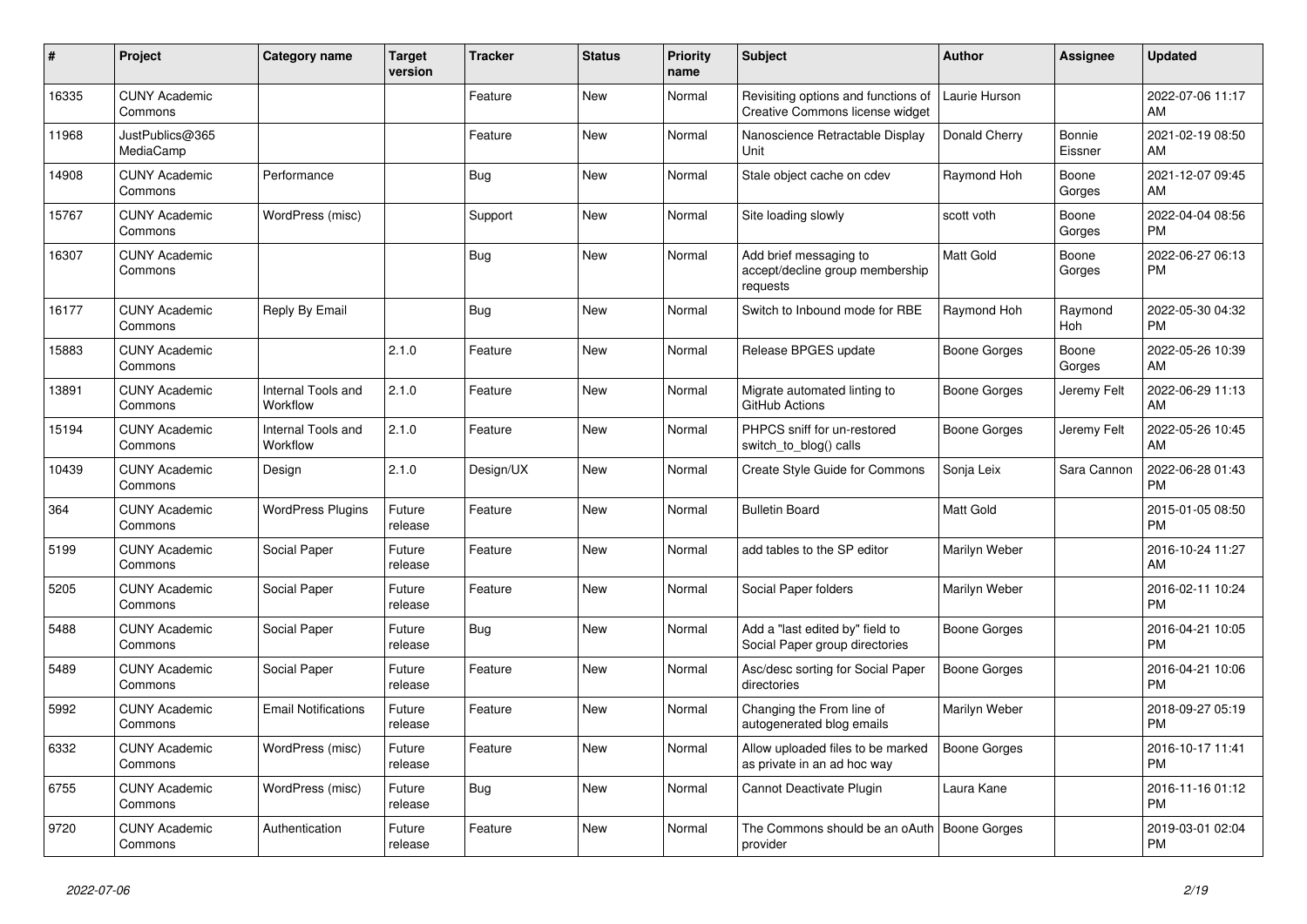| $\#$  | Project                         | <b>Category name</b>           | <b>Target</b><br>version | <b>Tracker</b> | <b>Status</b> | <b>Priority</b><br>name | <b>Subject</b>                                                         | <b>Author</b>       | Assignee          | <b>Updated</b>                |
|-------|---------------------------------|--------------------------------|--------------------------|----------------|---------------|-------------------------|------------------------------------------------------------------------|---------------------|-------------------|-------------------------------|
| 16335 | <b>CUNY Academic</b><br>Commons |                                |                          | Feature        | New           | Normal                  | Revisiting options and functions of<br>Creative Commons license widget | Laurie Hurson       |                   | 2022-07-06 11:17<br>AM        |
| 11968 | JustPublics@365<br>MediaCamp    |                                |                          | Feature        | New           | Normal                  | Nanoscience Retractable Display<br>Unit                                | Donald Cherry       | Bonnie<br>Eissner | 2021-02-19 08:50<br>AM        |
| 14908 | <b>CUNY Academic</b><br>Commons | Performance                    |                          | <b>Bug</b>     | <b>New</b>    | Normal                  | Stale object cache on cdev                                             | Raymond Hoh         | Boone<br>Gorges   | 2021-12-07 09:45<br>AM        |
| 15767 | <b>CUNY Academic</b><br>Commons | WordPress (misc)               |                          | Support        | <b>New</b>    | Normal                  | Site loading slowly                                                    | scott voth          | Boone<br>Gorges   | 2022-04-04 08:56<br><b>PM</b> |
| 16307 | <b>CUNY Academic</b><br>Commons |                                |                          | Bug            | New           | Normal                  | Add brief messaging to<br>accept/decline group membership<br>requests  | Matt Gold           | Boone<br>Gorges   | 2022-06-27 06:13<br><b>PM</b> |
| 16177 | <b>CUNY Academic</b><br>Commons | Reply By Email                 |                          | Bug            | <b>New</b>    | Normal                  | Switch to Inbound mode for RBE                                         | Raymond Hoh         | Raymond<br>Hoh    | 2022-05-30 04:32<br><b>PM</b> |
| 15883 | <b>CUNY Academic</b><br>Commons |                                | 2.1.0                    | Feature        | New           | Normal                  | Release BPGES update                                                   | Boone Gorges        | Boone<br>Gorges   | 2022-05-26 10:39<br>AM        |
| 13891 | <b>CUNY Academic</b><br>Commons | Internal Tools and<br>Workflow | 2.1.0                    | Feature        | New           | Normal                  | Migrate automated linting to<br>GitHub Actions                         | <b>Boone Gorges</b> | Jeremy Felt       | 2022-06-29 11:13<br>AM        |
| 15194 | <b>CUNY Academic</b><br>Commons | Internal Tools and<br>Workflow | 2.1.0                    | Feature        | New           | Normal                  | PHPCS sniff for un-restored<br>switch_to_blog() calls                  | Boone Gorges        | Jeremy Felt       | 2022-05-26 10:45<br>AM        |
| 10439 | <b>CUNY Academic</b><br>Commons | Design                         | 2.1.0                    | Design/UX      | <b>New</b>    | Normal                  | <b>Create Style Guide for Commons</b>                                  | Sonja Leix          | Sara Cannon       | 2022-06-28 01:43<br><b>PM</b> |
| 364   | <b>CUNY Academic</b><br>Commons | <b>WordPress Plugins</b>       | Future<br>release        | Feature        | New           | Normal                  | <b>Bulletin Board</b>                                                  | Matt Gold           |                   | 2015-01-05 08:50<br><b>PM</b> |
| 5199  | <b>CUNY Academic</b><br>Commons | Social Paper                   | Future<br>release        | Feature        | <b>New</b>    | Normal                  | add tables to the SP editor                                            | Marilyn Weber       |                   | 2016-10-24 11:27<br>AM        |
| 5205  | <b>CUNY Academic</b><br>Commons | Social Paper                   | Future<br>release        | Feature        | <b>New</b>    | Normal                  | Social Paper folders                                                   | Marilyn Weber       |                   | 2016-02-11 10:24<br><b>PM</b> |
| 5488  | <b>CUNY Academic</b><br>Commons | Social Paper                   | Future<br>release        | <b>Bug</b>     | New           | Normal                  | Add a "last edited by" field to<br>Social Paper group directories      | Boone Gorges        |                   | 2016-04-21 10:05<br><b>PM</b> |
| 5489  | <b>CUNY Academic</b><br>Commons | Social Paper                   | Future<br>release        | Feature        | New           | Normal                  | Asc/desc sorting for Social Paper<br>directories                       | <b>Boone Gorges</b> |                   | 2016-04-21 10:06<br><b>PM</b> |
| 5992  | <b>CUNY Academic</b><br>Commons | <b>Email Notifications</b>     | Future<br>release        | Feature        | New           | Normal                  | Changing the From line of<br>autogenerated blog emails                 | Marilyn Weber       |                   | 2018-09-27 05:19<br><b>PM</b> |
| 6332  | <b>CUNY Academic</b><br>Commons | WordPress (misc)               | Future<br>release        | Feature        | <b>New</b>    | Normal                  | Allow uploaded files to be marked<br>as private in an ad hoc way       | <b>Boone Gorges</b> |                   | 2016-10-17 11:41<br><b>PM</b> |
| 6755  | <b>CUNY Academic</b><br>Commons | WordPress (misc)               | Future<br>release        | <b>Bug</b>     | New           | Normal                  | Cannot Deactivate Plugin                                               | Laura Kane          |                   | 2016-11-16 01:12<br><b>PM</b> |
| 9720  | <b>CUNY Academic</b><br>Commons | Authentication                 | Future<br>release        | Feature        | <b>New</b>    | Normal                  | The Commons should be an oAuth   Boone Gorges<br>provider              |                     |                   | 2019-03-01 02:04<br><b>PM</b> |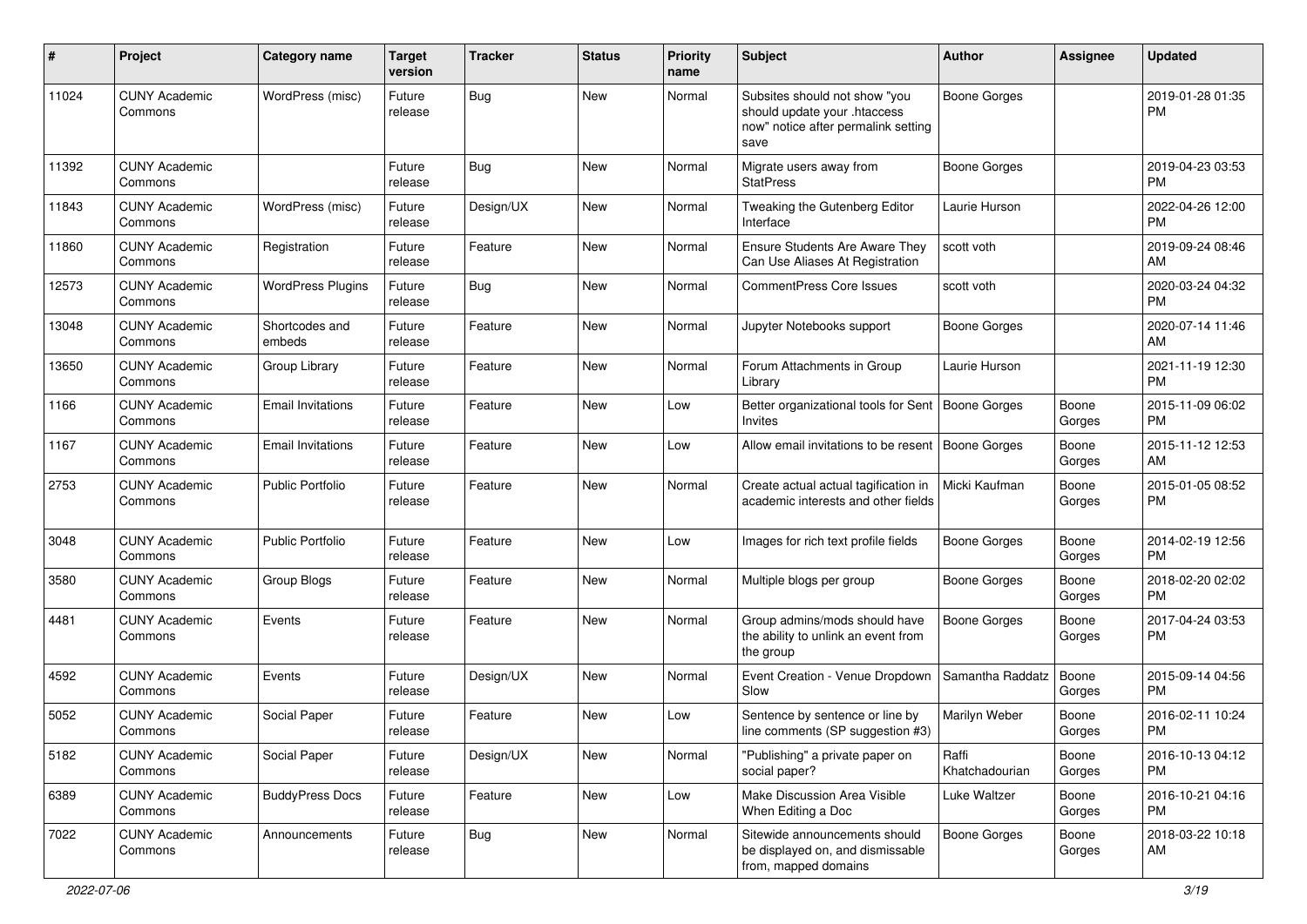| #     | Project                         | <b>Category name</b>     | <b>Target</b><br>version | <b>Tracker</b> | <b>Status</b> | Priority<br>name | <b>Subject</b>                                                                                               | Author                  | <b>Assignee</b> | <b>Updated</b>                |
|-------|---------------------------------|--------------------------|--------------------------|----------------|---------------|------------------|--------------------------------------------------------------------------------------------------------------|-------------------------|-----------------|-------------------------------|
| 11024 | <b>CUNY Academic</b><br>Commons | WordPress (misc)         | Future<br>release        | Bug            | New           | Normal           | Subsites should not show "you<br>should update your .htaccess<br>now" notice after permalink setting<br>save | <b>Boone Gorges</b>     |                 | 2019-01-28 01:35<br><b>PM</b> |
| 11392 | <b>CUNY Academic</b><br>Commons |                          | Future<br>release        | <b>Bug</b>     | New           | Normal           | Migrate users away from<br><b>StatPress</b>                                                                  | <b>Boone Gorges</b>     |                 | 2019-04-23 03:53<br><b>PM</b> |
| 11843 | <b>CUNY Academic</b><br>Commons | WordPress (misc)         | Future<br>release        | Design/UX      | New           | Normal           | Tweaking the Gutenberg Editor<br>Interface                                                                   | Laurie Hurson           |                 | 2022-04-26 12:00<br><b>PM</b> |
| 11860 | <b>CUNY Academic</b><br>Commons | Registration             | Future<br>release        | Feature        | New           | Normal           | Ensure Students Are Aware They<br>Can Use Aliases At Registration                                            | scott voth              |                 | 2019-09-24 08:46<br>AM        |
| 12573 | <b>CUNY Academic</b><br>Commons | <b>WordPress Plugins</b> | Future<br>release        | Bug            | New           | Normal           | <b>CommentPress Core Issues</b>                                                                              | scott voth              |                 | 2020-03-24 04:32<br><b>PM</b> |
| 13048 | <b>CUNY Academic</b><br>Commons | Shortcodes and<br>embeds | Future<br>release        | Feature        | New           | Normal           | Jupyter Notebooks support                                                                                    | Boone Gorges            |                 | 2020-07-14 11:46<br>AM        |
| 13650 | <b>CUNY Academic</b><br>Commons | Group Library            | Future<br>release        | Feature        | New           | Normal           | Forum Attachments in Group<br>Library                                                                        | Laurie Hurson           |                 | 2021-11-19 12:30<br><b>PM</b> |
| 1166  | <b>CUNY Academic</b><br>Commons | <b>Email Invitations</b> | Future<br>release        | Feature        | New           | Low              | Better organizational tools for Sent   Boone Gorges<br>Invites                                               |                         | Boone<br>Gorges | 2015-11-09 06:02<br><b>PM</b> |
| 1167  | <b>CUNY Academic</b><br>Commons | <b>Email Invitations</b> | Future<br>release        | Feature        | <b>New</b>    | Low              | Allow email invitations to be resent                                                                         | Boone Gorges            | Boone<br>Gorges | 2015-11-12 12:53<br>AM        |
| 2753  | <b>CUNY Academic</b><br>Commons | <b>Public Portfolio</b>  | Future<br>release        | Feature        | New           | Normal           | Create actual actual tagification in<br>academic interests and other fields                                  | Micki Kaufman           | Boone<br>Gorges | 2015-01-05 08:52<br>PM        |
| 3048  | <b>CUNY Academic</b><br>Commons | <b>Public Portfolio</b>  | Future<br>release        | Feature        | New           | Low              | Images for rich text profile fields                                                                          | <b>Boone Gorges</b>     | Boone<br>Gorges | 2014-02-19 12:56<br><b>PM</b> |
| 3580  | <b>CUNY Academic</b><br>Commons | Group Blogs              | Future<br>release        | Feature        | New           | Normal           | Multiple blogs per group                                                                                     | <b>Boone Gorges</b>     | Boone<br>Gorges | 2018-02-20 02:02<br><b>PM</b> |
| 4481  | <b>CUNY Academic</b><br>Commons | Events                   | Future<br>release        | Feature        | New           | Normal           | Group admins/mods should have<br>the ability to unlink an event from<br>the group                            | <b>Boone Gorges</b>     | Boone<br>Gorges | 2017-04-24 03:53<br><b>PM</b> |
| 4592  | <b>CUNY Academic</b><br>Commons | Events                   | Future<br>release        | Design/UX      | New           | Normal           | Event Creation - Venue Dropdown<br>Slow                                                                      | Samantha Raddatz        | Boone<br>Gorges | 2015-09-14 04:56<br><b>PM</b> |
| 5052  | <b>CUNY Academic</b><br>Commons | Social Paper             | Future<br>release        | Feature        | New           | Low              | Sentence by sentence or line by<br>line comments (SP suggestion #3)                                          | Marilyn Weber           | Boone<br>Gorges | 2016-02-11 10:24<br><b>PM</b> |
| 5182  | <b>CUNY Academic</b><br>Commons | Social Paper             | Future<br>release        | Design/UX      | New           | Normal           | "Publishing" a private paper on<br>social paper?                                                             | Raffi<br>Khatchadourian | Boone<br>Gorges | 2016-10-13 04:12<br><b>PM</b> |
| 6389  | <b>CUNY Academic</b><br>Commons | <b>BuddyPress Docs</b>   | Future<br>release        | Feature        | New           | Low              | Make Discussion Area Visible<br>When Editing a Doc                                                           | Luke Waltzer            | Boone<br>Gorges | 2016-10-21 04:16<br><b>PM</b> |
| 7022  | <b>CUNY Academic</b><br>Commons | Announcements            | Future<br>release        | Bug            | New           | Normal           | Sitewide announcements should<br>be displayed on, and dismissable<br>from, mapped domains                    | <b>Boone Gorges</b>     | Boone<br>Gorges | 2018-03-22 10:18<br>AM        |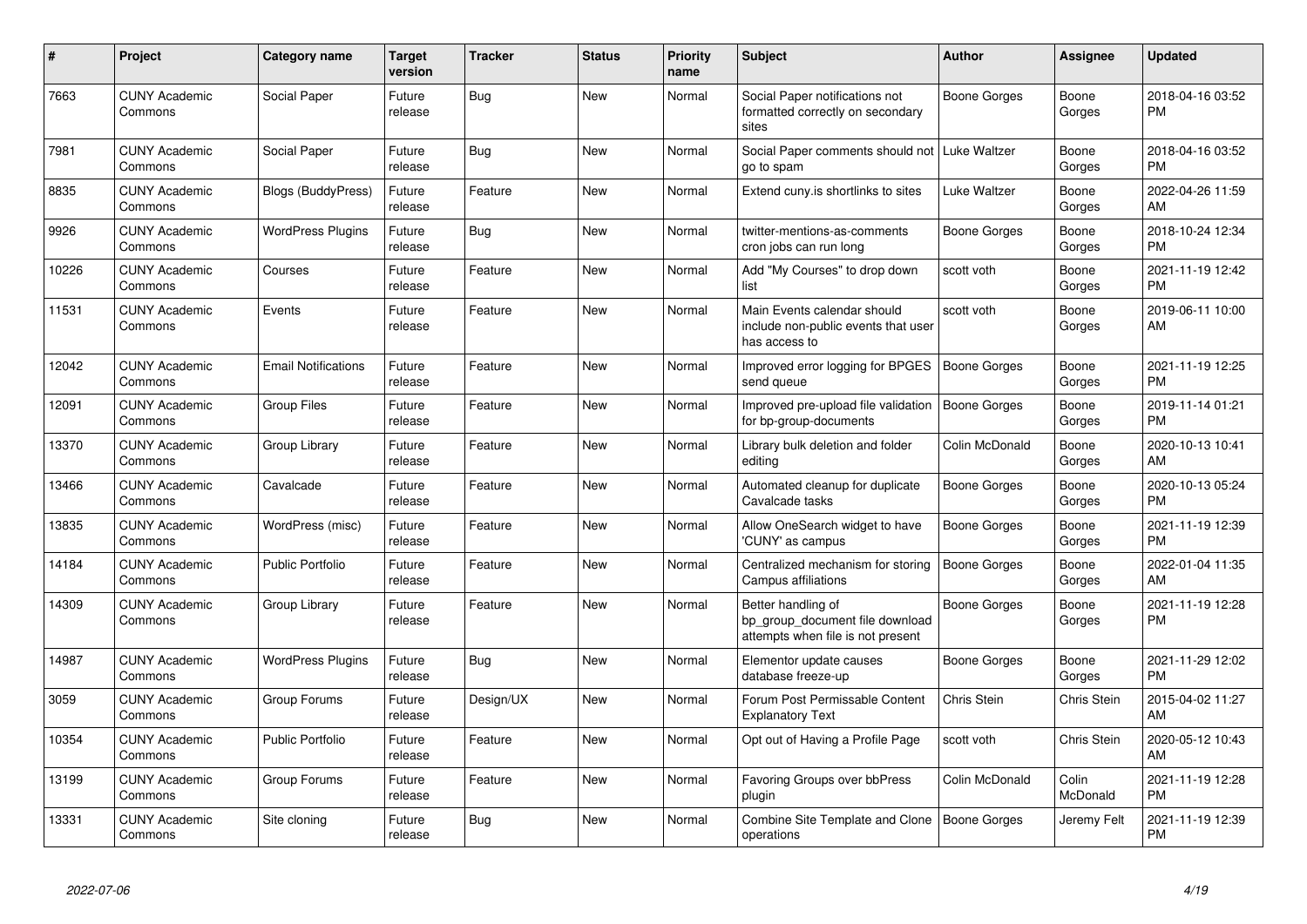| #     | Project                         | Category name              | <b>Target</b><br>version | <b>Tracker</b> | <b>Status</b> | <b>Priority</b><br>name | <b>Subject</b>                                                                             | Author              | <b>Assignee</b>   | <b>Updated</b>                |
|-------|---------------------------------|----------------------------|--------------------------|----------------|---------------|-------------------------|--------------------------------------------------------------------------------------------|---------------------|-------------------|-------------------------------|
| 7663  | <b>CUNY Academic</b><br>Commons | Social Paper               | Future<br>release        | Bug            | <b>New</b>    | Normal                  | Social Paper notifications not<br>formatted correctly on secondary<br>sites                | Boone Gorges        | Boone<br>Gorges   | 2018-04-16 03:52<br><b>PM</b> |
| 7981  | <b>CUNY Academic</b><br>Commons | Social Paper               | Future<br>release        | Bug            | <b>New</b>    | Normal                  | Social Paper comments should not   Luke Waltzer<br>go to spam                              |                     | Boone<br>Gorges   | 2018-04-16 03:52<br><b>PM</b> |
| 8835  | <b>CUNY Academic</b><br>Commons | Blogs (BuddyPress)         | Future<br>release        | Feature        | New           | Normal                  | Extend cuny is shortlinks to sites                                                         | Luke Waltzer        | Boone<br>Gorges   | 2022-04-26 11:59<br>AM        |
| 9926  | <b>CUNY Academic</b><br>Commons | <b>WordPress Plugins</b>   | Future<br>release        | Bug            | New           | Normal                  | twitter-mentions-as-comments<br>cron jobs can run long                                     | Boone Gorges        | Boone<br>Gorges   | 2018-10-24 12:34<br><b>PM</b> |
| 10226 | <b>CUNY Academic</b><br>Commons | Courses                    | Future<br>release        | Feature        | New           | Normal                  | Add "My Courses" to drop down<br>list                                                      | scott voth          | Boone<br>Gorges   | 2021-11-19 12:42<br><b>PM</b> |
| 11531 | <b>CUNY Academic</b><br>Commons | Events                     | Future<br>release        | Feature        | <b>New</b>    | Normal                  | Main Events calendar should<br>include non-public events that user<br>has access to        | scott voth          | Boone<br>Gorges   | 2019-06-11 10:00<br>AM        |
| 12042 | <b>CUNY Academic</b><br>Commons | <b>Email Notifications</b> | Future<br>release        | Feature        | <b>New</b>    | Normal                  | Improved error logging for BPGES<br>send queue                                             | Boone Gorges        | Boone<br>Gorges   | 2021-11-19 12:25<br><b>PM</b> |
| 12091 | <b>CUNY Academic</b><br>Commons | <b>Group Files</b>         | Future<br>release        | Feature        | New           | Normal                  | Improved pre-upload file validation<br>for bp-group-documents                              | Boone Gorges        | Boone<br>Gorges   | 2019-11-14 01:21<br><b>PM</b> |
| 13370 | <b>CUNY Academic</b><br>Commons | Group Library              | Future<br>release        | Feature        | New           | Normal                  | Library bulk deletion and folder<br>editing                                                | Colin McDonald      | Boone<br>Gorges   | 2020-10-13 10:41<br>AM        |
| 13466 | <b>CUNY Academic</b><br>Commons | Cavalcade                  | Future<br>release        | Feature        | New           | Normal                  | Automated cleanup for duplicate<br>Cavalcade tasks                                         | Boone Gorges        | Boone<br>Gorges   | 2020-10-13 05:24<br><b>PM</b> |
| 13835 | <b>CUNY Academic</b><br>Commons | WordPress (misc)           | Future<br>release        | Feature        | New           | Normal                  | Allow OneSearch widget to have<br>'CUNY' as campus                                         | <b>Boone Gorges</b> | Boone<br>Gorges   | 2021-11-19 12:39<br><b>PM</b> |
| 14184 | <b>CUNY Academic</b><br>Commons | <b>Public Portfolio</b>    | Future<br>release        | Feature        | <b>New</b>    | Normal                  | Centralized mechanism for storing<br>Campus affiliations                                   | <b>Boone Gorges</b> | Boone<br>Gorges   | 2022-01-04 11:35<br>AM        |
| 14309 | <b>CUNY Academic</b><br>Commons | Group Library              | Future<br>release        | Feature        | <b>New</b>    | Normal                  | Better handling of<br>bp group document file download<br>attempts when file is not present | Boone Gorges        | Boone<br>Gorges   | 2021-11-19 12:28<br><b>PM</b> |
| 14987 | <b>CUNY Academic</b><br>Commons | <b>WordPress Plugins</b>   | Future<br>release        | Bug            | New           | Normal                  | Elementor update causes<br>database freeze-up                                              | Boone Gorges        | Boone<br>Gorges   | 2021-11-29 12:02<br><b>PM</b> |
| 3059  | <b>CUNY Academic</b><br>Commons | Group Forums               | Future<br>release        | Design/UX      | <b>New</b>    | Normal                  | Forum Post Permissable Content<br><b>Explanatory Text</b>                                  | Chris Stein         | Chris Stein       | 2015-04-02 11:27<br>AM        |
| 10354 | <b>CUNY Academic</b><br>Commons | <b>Public Portfolio</b>    | Future<br>release        | Feature        | New           | Normal                  | Opt out of Having a Profile Page                                                           | scott voth          | Chris Stein       | 2020-05-12 10:43<br>AM        |
| 13199 | <b>CUNY Academic</b><br>Commons | Group Forums               | Future<br>release        | Feature        | New           | Normal                  | Favoring Groups over bbPress<br>plugin                                                     | Colin McDonald      | Colin<br>McDonald | 2021-11-19 12:28<br><b>PM</b> |
| 13331 | <b>CUNY Academic</b><br>Commons | Site cloning               | Future<br>release        | Bug            | <b>New</b>    | Normal                  | Combine Site Template and Clone<br>operations                                              | Boone Gorges        | Jeremy Felt       | 2021-11-19 12:39<br><b>PM</b> |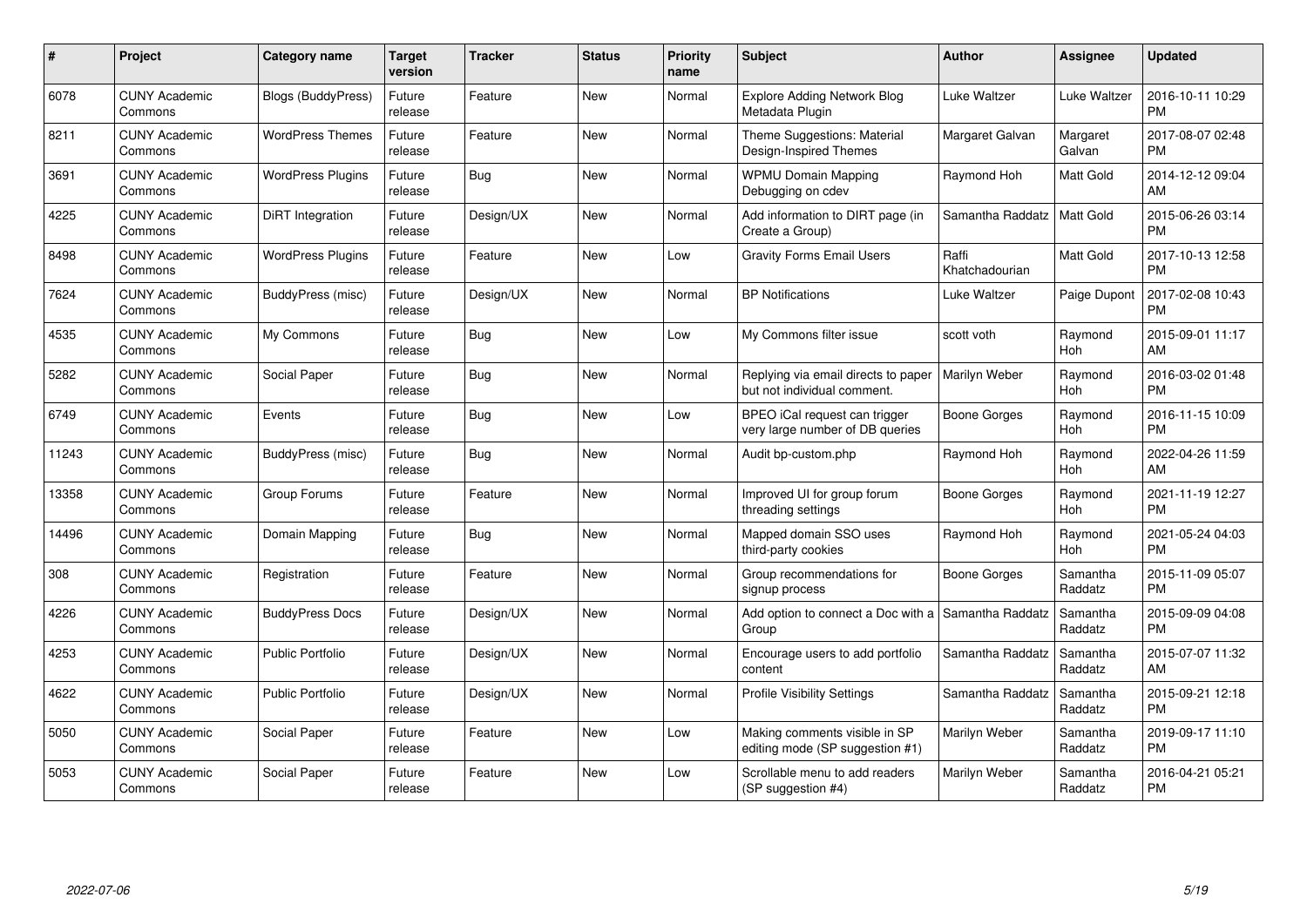| #     | Project                         | Category name             | Target<br>version | <b>Tracker</b> | <b>Status</b> | <b>Priority</b><br>name | <b>Subject</b>                                                     | <b>Author</b>           | Assignee            | <b>Updated</b>                |
|-------|---------------------------------|---------------------------|-------------------|----------------|---------------|-------------------------|--------------------------------------------------------------------|-------------------------|---------------------|-------------------------------|
| 6078  | <b>CUNY Academic</b><br>Commons | <b>Blogs (BuddyPress)</b> | Future<br>release | Feature        | New           | Normal                  | <b>Explore Adding Network Blog</b><br>Metadata Plugin              | Luke Waltzer            | Luke Waltzer        | 2016-10-11 10:29<br><b>PM</b> |
| 8211  | <b>CUNY Academic</b><br>Commons | <b>WordPress Themes</b>   | Future<br>release | Feature        | <b>New</b>    | Normal                  | Theme Suggestions: Material<br>Design-Inspired Themes              | Margaret Galvan         | Margaret<br>Galvan  | 2017-08-07 02:48<br><b>PM</b> |
| 3691  | <b>CUNY Academic</b><br>Commons | <b>WordPress Plugins</b>  | Future<br>release | Bug            | New           | Normal                  | <b>WPMU Domain Mapping</b><br>Debugging on cdev                    | Raymond Hoh             | Matt Gold           | 2014-12-12 09:04<br>AM        |
| 4225  | <b>CUNY Academic</b><br>Commons | DiRT Integration          | Future<br>release | Design/UX      | <b>New</b>    | Normal                  | Add information to DIRT page (in<br>Create a Group)                | Samantha Raddatz        | Matt Gold           | 2015-06-26 03:14<br><b>PM</b> |
| 8498  | <b>CUNY Academic</b><br>Commons | <b>WordPress Plugins</b>  | Future<br>release | Feature        | <b>New</b>    | Low                     | <b>Gravity Forms Email Users</b>                                   | Raffi<br>Khatchadourian | Matt Gold           | 2017-10-13 12:58<br><b>PM</b> |
| 7624  | <b>CUNY Academic</b><br>Commons | BuddyPress (misc)         | Future<br>release | Design/UX      | <b>New</b>    | Normal                  | <b>BP</b> Notifications                                            | Luke Waltzer            | Paige Dupont        | 2017-02-08 10:43<br><b>PM</b> |
| 4535  | <b>CUNY Academic</b><br>Commons | My Commons                | Future<br>release | <b>Bug</b>     | <b>New</b>    | Low                     | My Commons filter issue                                            | scott voth              | Raymond<br>Hoh      | 2015-09-01 11:17<br>AM        |
| 5282  | <b>CUNY Academic</b><br>Commons | Social Paper              | Future<br>release | <b>Bug</b>     | New           | Normal                  | Replying via email directs to paper<br>but not individual comment. | Marilyn Weber           | Raymond<br>Hoh      | 2016-03-02 01:48<br><b>PM</b> |
| 6749  | <b>CUNY Academic</b><br>Commons | Events                    | Future<br>release | Bug            | <b>New</b>    | Low                     | BPEO iCal request can trigger<br>very large number of DB queries   | Boone Gorges            | Raymond<br>Hoh      | 2016-11-15 10:09<br><b>PM</b> |
| 11243 | <b>CUNY Academic</b><br>Commons | BuddyPress (misc)         | Future<br>release | <b>Bug</b>     | <b>New</b>    | Normal                  | Audit bp-custom.php                                                | Raymond Hoh             | Raymond<br>Hoh      | 2022-04-26 11:59<br>AM        |
| 13358 | <b>CUNY Academic</b><br>Commons | Group Forums              | Future<br>release | Feature        | <b>New</b>    | Normal                  | Improved UI for group forum<br>threading settings                  | Boone Gorges            | Raymond<br>Hoh      | 2021-11-19 12:27<br><b>PM</b> |
| 14496 | <b>CUNY Academic</b><br>Commons | Domain Mapping            | Future<br>release | <b>Bug</b>     | <b>New</b>    | Normal                  | Mapped domain SSO uses<br>third-party cookies                      | Raymond Hoh             | Raymond<br>Hoh      | 2021-05-24 04:03<br><b>PM</b> |
| 308   | <b>CUNY Academic</b><br>Commons | Registration              | Future<br>release | Feature        | <b>New</b>    | Normal                  | Group recommendations for<br>signup process                        | Boone Gorges            | Samantha<br>Raddatz | 2015-11-09 05:07<br>PM        |
| 4226  | <b>CUNY Academic</b><br>Commons | <b>BuddyPress Docs</b>    | Future<br>release | Design/UX      | <b>New</b>    | Normal                  | Add option to connect a Doc with a<br>Group                        | Samantha Raddatz        | Samantha<br>Raddatz | 2015-09-09 04:08<br><b>PM</b> |
| 4253  | <b>CUNY Academic</b><br>Commons | <b>Public Portfolio</b>   | Future<br>release | Design/UX      | New           | Normal                  | Encourage users to add portfolio<br>content                        | Samantha Raddatz        | Samantha<br>Raddatz | 2015-07-07 11:32<br>AM        |
| 4622  | <b>CUNY Academic</b><br>Commons | <b>Public Portfolio</b>   | Future<br>release | Design/UX      | New           | Normal                  | <b>Profile Visibility Settings</b>                                 | Samantha Raddatz        | Samantha<br>Raddatz | 2015-09-21 12:18<br><b>PM</b> |
| 5050  | <b>CUNY Academic</b><br>Commons | Social Paper              | Future<br>release | Feature        | <b>New</b>    | Low                     | Making comments visible in SP<br>editing mode (SP suggestion #1)   | Marilyn Weber           | Samantha<br>Raddatz | 2019-09-17 11:10<br><b>PM</b> |
| 5053  | <b>CUNY Academic</b><br>Commons | Social Paper              | Future<br>release | Feature        | <b>New</b>    | Low                     | Scrollable menu to add readers<br>(SP suggestion #4)               | Marilyn Weber           | Samantha<br>Raddatz | 2016-04-21 05:21<br><b>PM</b> |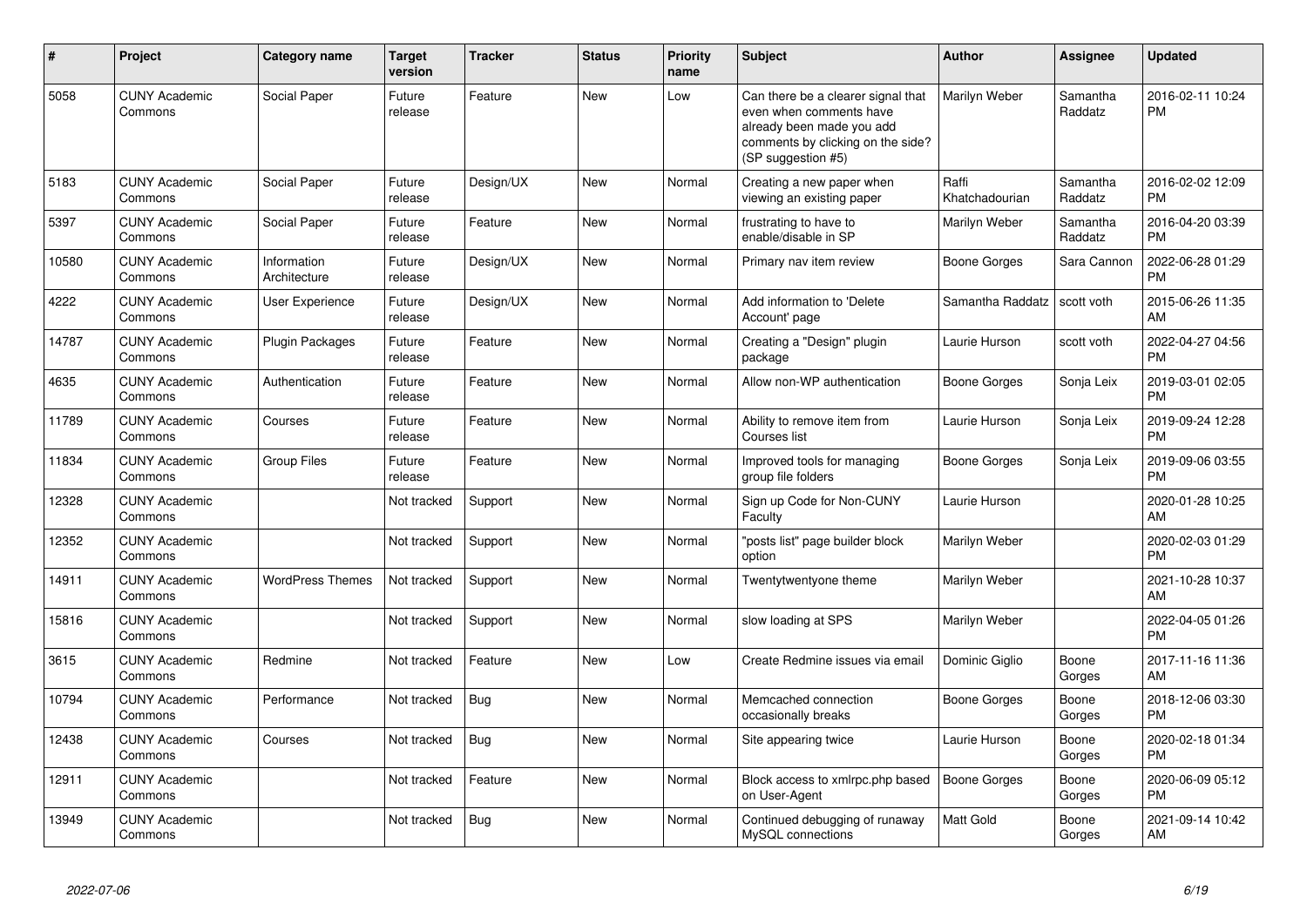| #     | <b>Project</b>                  | <b>Category name</b>        | <b>Target</b><br>version | <b>Tracker</b> | <b>Status</b> | <b>Priority</b><br>name | <b>Subject</b>                                                                                                                                        | Author                  | <b>Assignee</b>     | <b>Updated</b>                |
|-------|---------------------------------|-----------------------------|--------------------------|----------------|---------------|-------------------------|-------------------------------------------------------------------------------------------------------------------------------------------------------|-------------------------|---------------------|-------------------------------|
| 5058  | <b>CUNY Academic</b><br>Commons | Social Paper                | Future<br>release        | Feature        | <b>New</b>    | Low                     | Can there be a clearer signal that<br>even when comments have<br>already been made you add<br>comments by clicking on the side?<br>(SP suggestion #5) | Marilyn Weber           | Samantha<br>Raddatz | 2016-02-11 10:24<br><b>PM</b> |
| 5183  | <b>CUNY Academic</b><br>Commons | Social Paper                | Future<br>release        | Design/UX      | New           | Normal                  | Creating a new paper when<br>viewing an existing paper                                                                                                | Raffi<br>Khatchadourian | Samantha<br>Raddatz | 2016-02-02 12:09<br><b>PM</b> |
| 5397  | <b>CUNY Academic</b><br>Commons | Social Paper                | Future<br>release        | Feature        | <b>New</b>    | Normal                  | frustrating to have to<br>enable/disable in SP                                                                                                        | Marilyn Weber           | Samantha<br>Raddatz | 2016-04-20 03:39<br><b>PM</b> |
| 10580 | <b>CUNY Academic</b><br>Commons | Information<br>Architecture | Future<br>release        | Design/UX      | <b>New</b>    | Normal                  | Primary nav item review                                                                                                                               | <b>Boone Gorges</b>     | Sara Cannon         | 2022-06-28 01:29<br>PM        |
| 4222  | <b>CUNY Academic</b><br>Commons | User Experience             | Future<br>release        | Design/UX      | <b>New</b>    | Normal                  | Add information to 'Delete<br>Account' page                                                                                                           | Samantha Raddatz        | scott voth          | 2015-06-26 11:35<br>AM        |
| 14787 | <b>CUNY Academic</b><br>Commons | Plugin Packages             | Future<br>release        | Feature        | New           | Normal                  | Creating a "Design" plugin<br>package                                                                                                                 | Laurie Hurson           | scott voth          | 2022-04-27 04:56<br><b>PM</b> |
| 4635  | <b>CUNY Academic</b><br>Commons | Authentication              | Future<br>release        | Feature        | New           | Normal                  | Allow non-WP authentication                                                                                                                           | Boone Gorges            | Sonja Leix          | 2019-03-01 02:05<br><b>PM</b> |
| 11789 | <b>CUNY Academic</b><br>Commons | Courses                     | Future<br>release        | Feature        | <b>New</b>    | Normal                  | Ability to remove item from<br>Courses list                                                                                                           | Laurie Hurson           | Sonja Leix          | 2019-09-24 12:28<br><b>PM</b> |
| 11834 | <b>CUNY Academic</b><br>Commons | <b>Group Files</b>          | Future<br>release        | Feature        | <b>New</b>    | Normal                  | Improved tools for managing<br>group file folders                                                                                                     | <b>Boone Gorges</b>     | Sonja Leix          | 2019-09-06 03:55<br><b>PM</b> |
| 12328 | <b>CUNY Academic</b><br>Commons |                             | Not tracked              | Support        | <b>New</b>    | Normal                  | Sign up Code for Non-CUNY<br>Faculty                                                                                                                  | Laurie Hurson           |                     | 2020-01-28 10:25<br>AM        |
| 12352 | <b>CUNY Academic</b><br>Commons |                             | Not tracked              | Support        | <b>New</b>    | Normal                  | "posts list" page builder block<br>option                                                                                                             | Marilyn Weber           |                     | 2020-02-03 01:29<br><b>PM</b> |
| 14911 | <b>CUNY Academic</b><br>Commons | <b>WordPress Themes</b>     | Not tracked              | Support        | <b>New</b>    | Normal                  | Twentytwentyone theme                                                                                                                                 | Marilyn Weber           |                     | 2021-10-28 10:37<br>AM        |
| 15816 | <b>CUNY Academic</b><br>Commons |                             | Not tracked              | Support        | <b>New</b>    | Normal                  | slow loading at SPS                                                                                                                                   | Marilyn Weber           |                     | 2022-04-05 01:26<br><b>PM</b> |
| 3615  | <b>CUNY Academic</b><br>Commons | Redmine                     | Not tracked              | Feature        | <b>New</b>    | Low                     | Create Redmine issues via email                                                                                                                       | Dominic Giglio          | Boone<br>Gorges     | 2017-11-16 11:36<br>AM        |
| 10794 | <b>CUNY Academic</b><br>Commons | Performance                 | Not tracked              | <b>Bug</b>     | <b>New</b>    | Normal                  | Memcached connection<br>occasionally breaks                                                                                                           | Boone Gorges            | Boone<br>Gorges     | 2018-12-06 03:30<br><b>PM</b> |
| 12438 | <b>CUNY Academic</b><br>Commons | Courses                     | Not tracked              | Bug            | <b>New</b>    | Normal                  | Site appearing twice                                                                                                                                  | Laurie Hurson           | Boone<br>Gorges     | 2020-02-18 01:34<br><b>PM</b> |
| 12911 | <b>CUNY Academic</b><br>Commons |                             | Not tracked              | Feature        | <b>New</b>    | Normal                  | Block access to xmlrpc.php based<br>on User-Agent                                                                                                     | <b>Boone Gorges</b>     | Boone<br>Gorges     | 2020-06-09 05:12<br><b>PM</b> |
| 13949 | <b>CUNY Academic</b><br>Commons |                             | Not tracked              | Bug            | <b>New</b>    | Normal                  | Continued debugging of runaway<br>MySQL connections                                                                                                   | Matt Gold               | Boone<br>Gorges     | 2021-09-14 10:42<br>AM        |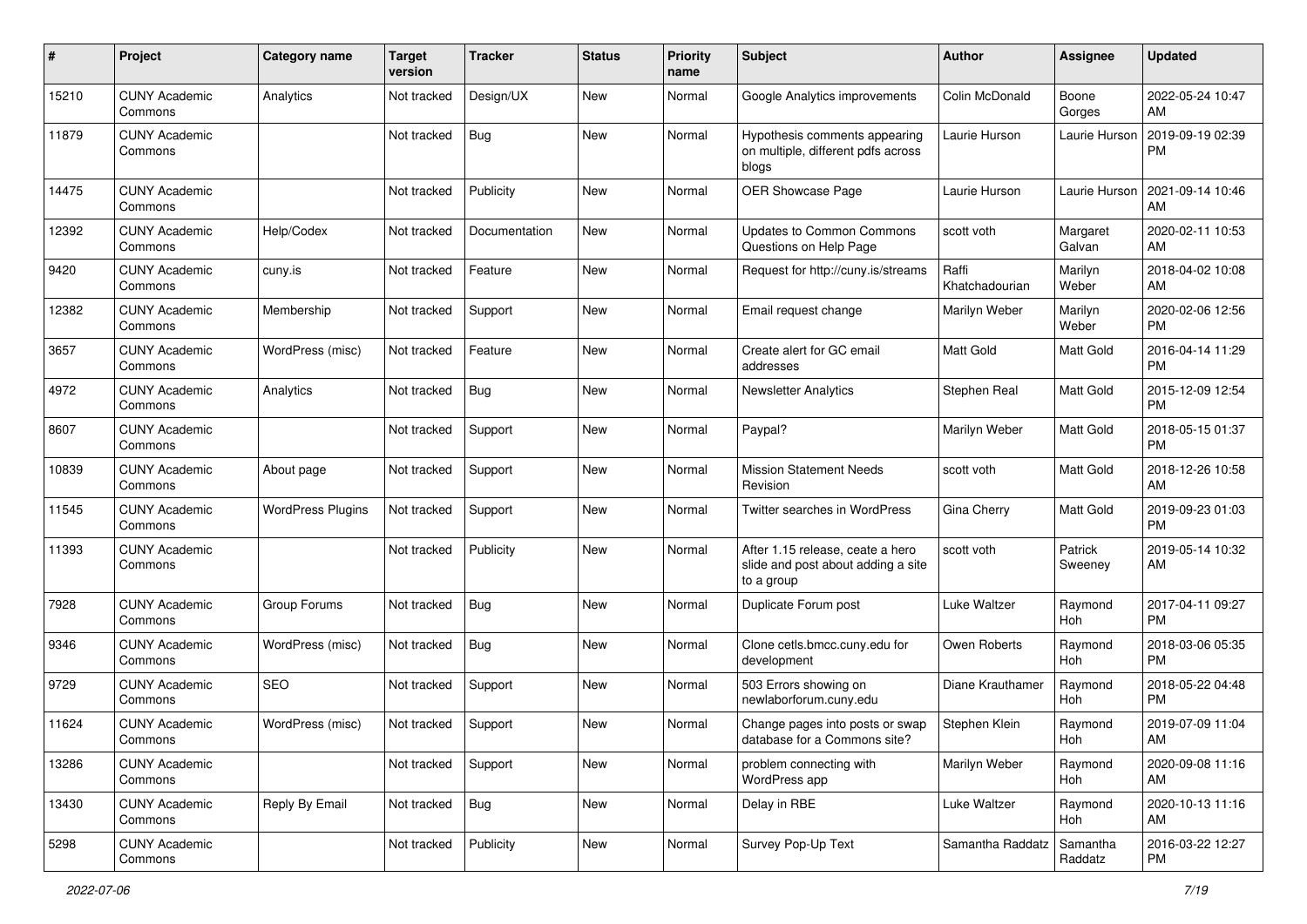| #     | Project                         | <b>Category name</b>     | <b>Target</b><br>version | <b>Tracker</b> | <b>Status</b> | <b>Priority</b><br>name | <b>Subject</b>                                                                       | Author                  | <b>Assignee</b>     | <b>Updated</b>                |
|-------|---------------------------------|--------------------------|--------------------------|----------------|---------------|-------------------------|--------------------------------------------------------------------------------------|-------------------------|---------------------|-------------------------------|
| 15210 | <b>CUNY Academic</b><br>Commons | Analytics                | Not tracked              | Design/UX      | <b>New</b>    | Normal                  | Google Analytics improvements                                                        | Colin McDonald          | Boone<br>Gorges     | 2022-05-24 10:47<br>AM        |
| 11879 | <b>CUNY Academic</b><br>Commons |                          | Not tracked              | <b>Bug</b>     | New           | Normal                  | Hypothesis comments appearing<br>on multiple, different pdfs across<br>blogs         | Laurie Hurson           | Laurie Hurson       | 2019-09-19 02:39<br><b>PM</b> |
| 14475 | <b>CUNY Academic</b><br>Commons |                          | Not tracked              | Publicity      | New           | Normal                  | OER Showcase Page                                                                    | Laurie Hurson           | Laurie Hurson       | 2021-09-14 10:46<br>AM        |
| 12392 | <b>CUNY Academic</b><br>Commons | Help/Codex               | Not tracked              | Documentation  | New           | Normal                  | <b>Updates to Common Commons</b><br>Questions on Help Page                           | scott voth              | Margaret<br>Galvan  | 2020-02-11 10:53<br>AM        |
| 9420  | <b>CUNY Academic</b><br>Commons | cuny.is                  | Not tracked              | Feature        | <b>New</b>    | Normal                  | Request for http://cuny.is/streams                                                   | Raffi<br>Khatchadourian | Marilyn<br>Weber    | 2018-04-02 10:08<br>AM        |
| 12382 | <b>CUNY Academic</b><br>Commons | Membership               | Not tracked              | Support        | New           | Normal                  | Email request change                                                                 | Marilyn Weber           | Marilyn<br>Weber    | 2020-02-06 12:56<br><b>PM</b> |
| 3657  | <b>CUNY Academic</b><br>Commons | WordPress (misc)         | Not tracked              | Feature        | New           | Normal                  | Create alert for GC email<br>addresses                                               | <b>Matt Gold</b>        | Matt Gold           | 2016-04-14 11:29<br><b>PM</b> |
| 4972  | <b>CUNY Academic</b><br>Commons | Analytics                | Not tracked              | Bug            | New           | Normal                  | <b>Newsletter Analytics</b>                                                          | Stephen Real            | Matt Gold           | 2015-12-09 12:54<br><b>PM</b> |
| 8607  | <b>CUNY Academic</b><br>Commons |                          | Not tracked              | Support        | <b>New</b>    | Normal                  | Paypal?                                                                              | Marilyn Weber           | Matt Gold           | 2018-05-15 01:37<br><b>PM</b> |
| 10839 | <b>CUNY Academic</b><br>Commons | About page               | Not tracked              | Support        | New           | Normal                  | <b>Mission Statement Needs</b><br>Revision                                           | scott voth              | Matt Gold           | 2018-12-26 10:58<br>AM        |
| 11545 | <b>CUNY Academic</b><br>Commons | <b>WordPress Plugins</b> | Not tracked              | Support        | <b>New</b>    | Normal                  | Twitter searches in WordPress                                                        | Gina Cherry             | Matt Gold           | 2019-09-23 01:03<br><b>PM</b> |
| 11393 | <b>CUNY Academic</b><br>Commons |                          | Not tracked              | Publicity      | <b>New</b>    | Normal                  | After 1.15 release, ceate a hero<br>slide and post about adding a site<br>to a group | scott voth              | Patrick<br>Sweeney  | 2019-05-14 10:32<br>AM        |
| 7928  | <b>CUNY Academic</b><br>Commons | Group Forums             | Not tracked              | Bug            | <b>New</b>    | Normal                  | Duplicate Forum post                                                                 | Luke Waltzer            | Raymond<br>Hoh      | 2017-04-11 09:27<br><b>PM</b> |
| 9346  | <b>CUNY Academic</b><br>Commons | WordPress (misc)         | Not tracked              | Bug            | <b>New</b>    | Normal                  | Clone cetls.bmcc.cuny.edu for<br>development                                         | Owen Roberts            | Raymond<br>Hoh      | 2018-03-06 05:35<br><b>PM</b> |
| 9729  | <b>CUNY Academic</b><br>Commons | <b>SEO</b>               | Not tracked              | Support        | New           | Normal                  | 503 Errors showing on<br>newlaborforum.cuny.edu                                      | Diane Krauthamer        | Raymond<br>Hoh      | 2018-05-22 04:48<br><b>PM</b> |
| 11624 | <b>CUNY Academic</b><br>Commons | WordPress (misc)         | Not tracked              | Support        | New           | Normal                  | Change pages into posts or swap<br>database for a Commons site?                      | Stephen Klein           | Raymond<br>Hoh      | 2019-07-09 11:04<br>AM        |
| 13286 | <b>CUNY Academic</b><br>Commons |                          | Not tracked              | Support        | New           | Normal                  | problem connecting with<br>WordPress app                                             | Marilyn Weber           | Ravmond<br>Hoh      | 2020-09-08 11:16<br>AM        |
| 13430 | <b>CUNY Academic</b><br>Commons | Reply By Email           | Not tracked              | Bug            | New           | Normal                  | Delay in RBE                                                                         | Luke Waltzer            | Raymond<br>Hoh      | 2020-10-13 11:16<br>AM        |
| 5298  | <b>CUNY Academic</b><br>Commons |                          | Not tracked              | Publicity      | New           | Normal                  | Survey Pop-Up Text                                                                   | Samantha Raddatz        | Samantha<br>Raddatz | 2016-03-22 12:27<br><b>PM</b> |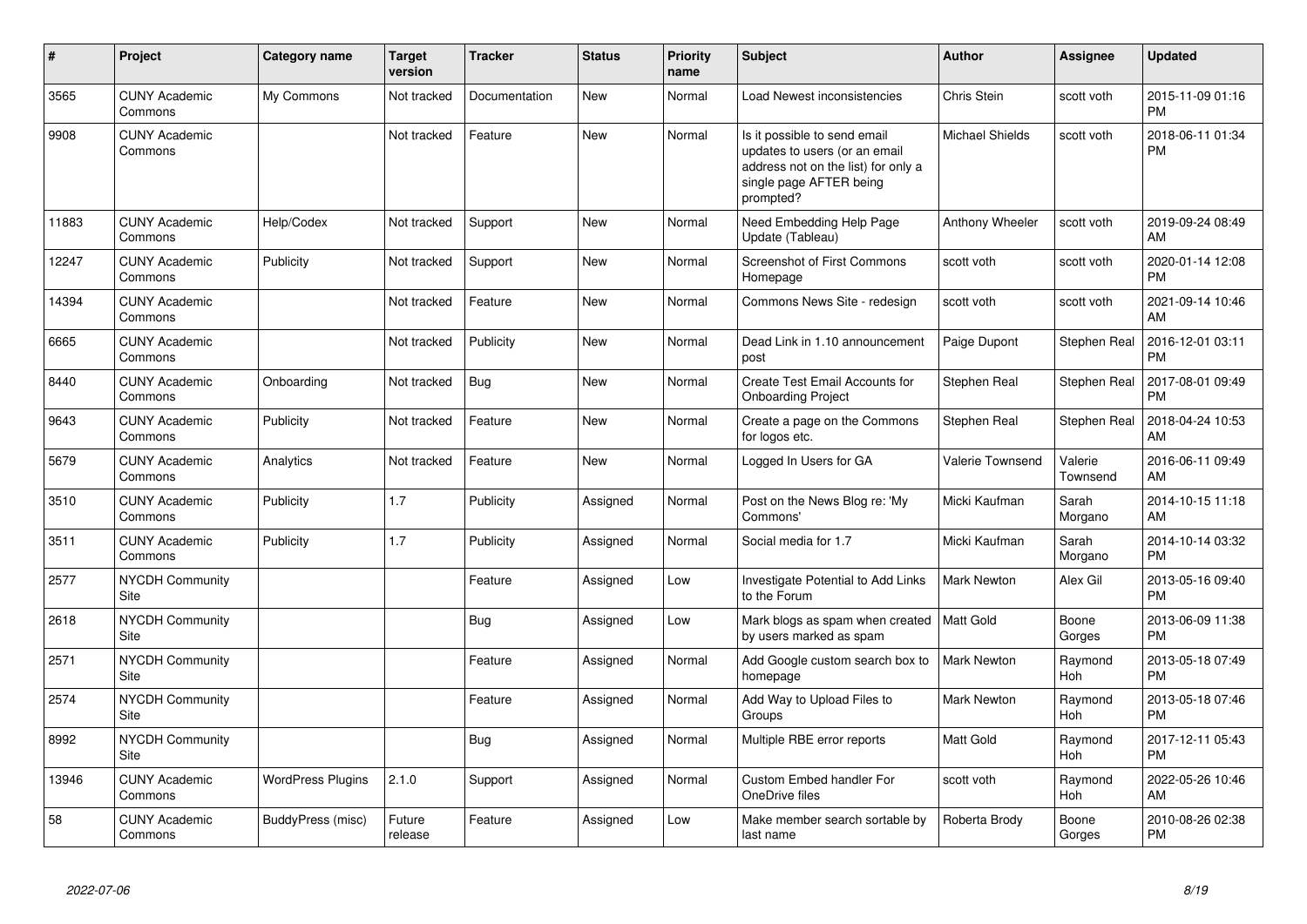| #     | Project                         | <b>Category name</b>     | Target<br>version | <b>Tracker</b> | <b>Status</b> | Priority<br>name | <b>Subject</b>                                                                                                                               | <b>Author</b>           | <b>Assignee</b>     | <b>Updated</b>                |
|-------|---------------------------------|--------------------------|-------------------|----------------|---------------|------------------|----------------------------------------------------------------------------------------------------------------------------------------------|-------------------------|---------------------|-------------------------------|
| 3565  | <b>CUNY Academic</b><br>Commons | My Commons               | Not tracked       | Documentation  | <b>New</b>    | Normal           | Load Newest inconsistencies                                                                                                                  | Chris Stein             | scott voth          | 2015-11-09 01:16<br><b>PM</b> |
| 9908  | <b>CUNY Academic</b><br>Commons |                          | Not tracked       | Feature        | <b>New</b>    | Normal           | Is it possible to send email<br>updates to users (or an email<br>address not on the list) for only a<br>single page AFTER being<br>prompted? | <b>Michael Shields</b>  | scott voth          | 2018-06-11 01:34<br><b>PM</b> |
| 11883 | <b>CUNY Academic</b><br>Commons | Help/Codex               | Not tracked       | Support        | <b>New</b>    | Normal           | Need Embedding Help Page<br>Update (Tableau)                                                                                                 | Anthony Wheeler         | scott voth          | 2019-09-24 08:49<br>AM        |
| 12247 | <b>CUNY Academic</b><br>Commons | Publicity                | Not tracked       | Support        | <b>New</b>    | Normal           | <b>Screenshot of First Commons</b><br>Homepage                                                                                               | scott voth              | scott voth          | 2020-01-14 12:08<br><b>PM</b> |
| 14394 | <b>CUNY Academic</b><br>Commons |                          | Not tracked       | Feature        | <b>New</b>    | Normal           | Commons News Site - redesign                                                                                                                 | scott voth              | scott voth          | 2021-09-14 10:46<br>AM        |
| 6665  | <b>CUNY Academic</b><br>Commons |                          | Not tracked       | Publicity      | New           | Normal           | Dead Link in 1.10 announcement<br>post                                                                                                       | Paige Dupont            | Stephen Real        | 2016-12-01 03:11<br><b>PM</b> |
| 8440  | <b>CUNY Academic</b><br>Commons | Onboarding               | Not tracked       | Bug            | <b>New</b>    | Normal           | Create Test Email Accounts for<br><b>Onboarding Project</b>                                                                                  | Stephen Real            | Stephen Real        | 2017-08-01 09:49<br><b>PM</b> |
| 9643  | <b>CUNY Academic</b><br>Commons | Publicity                | Not tracked       | Feature        | <b>New</b>    | Normal           | Create a page on the Commons<br>for logos etc.                                                                                               | Stephen Real            | Stephen Real        | 2018-04-24 10:53<br>AM        |
| 5679  | <b>CUNY Academic</b><br>Commons | Analytics                | Not tracked       | Feature        | <b>New</b>    | Normal           | Logged In Users for GA                                                                                                                       | <b>Valerie Townsend</b> | Valerie<br>Townsend | 2016-06-11 09:49<br>AM        |
| 3510  | <b>CUNY Academic</b><br>Commons | Publicity                | 1.7               | Publicity      | Assigned      | Normal           | Post on the News Blog re: 'My<br>Commons'                                                                                                    | Micki Kaufman           | Sarah<br>Morgano    | 2014-10-15 11:18<br>AM        |
| 3511  | <b>CUNY Academic</b><br>Commons | Publicity                | 1.7               | Publicity      | Assigned      | Normal           | Social media for 1.7                                                                                                                         | Micki Kaufman           | Sarah<br>Morgano    | 2014-10-14 03:32<br><b>PM</b> |
| 2577  | <b>NYCDH Community</b><br>Site  |                          |                   | Feature        | Assigned      | Low              | Investigate Potential to Add Links<br>to the Forum                                                                                           | Mark Newton             | Alex Gil            | 2013-05-16 09:40<br><b>PM</b> |
| 2618  | <b>NYCDH Community</b><br>Site  |                          |                   | Bug            | Assigned      | Low              | Mark blogs as spam when created   Matt Gold<br>by users marked as spam                                                                       |                         | Boone<br>Gorges     | 2013-06-09 11:38<br><b>PM</b> |
| 2571  | NYCDH Community<br>Site         |                          |                   | Feature        | Assigned      | Normal           | Add Google custom search box to<br>homepage                                                                                                  | Mark Newton             | Raymond<br>Hoh      | 2013-05-18 07:49<br><b>PM</b> |
| 2574  | NYCDH Community<br>Site         |                          |                   | Feature        | Assigned      | Normal           | Add Way to Upload Files to<br>Groups                                                                                                         | <b>Mark Newton</b>      | Raymond<br>Hoh      | 2013-05-18 07:46<br><b>PM</b> |
| 8992  | <b>NYCDH Community</b><br>Site  |                          |                   | Bug            | Assigned      | Normal           | Multiple RBE error reports                                                                                                                   | <b>Matt Gold</b>        | Raymond<br>Hoh      | 2017-12-11 05:43<br><b>PM</b> |
| 13946 | <b>CUNY Academic</b><br>Commons | <b>WordPress Plugins</b> | 2.1.0             | Support        | Assigned      | Normal           | Custom Embed handler For<br>OneDrive files                                                                                                   | scott voth              | Raymond<br>Hoh      | 2022-05-26 10:46<br>AM        |
| 58    | <b>CUNY Academic</b><br>Commons | BuddyPress (misc)        | Future<br>release | Feature        | Assigned      | Low              | Make member search sortable by<br>last name                                                                                                  | Roberta Brody           | Boone<br>Gorges     | 2010-08-26 02:38<br><b>PM</b> |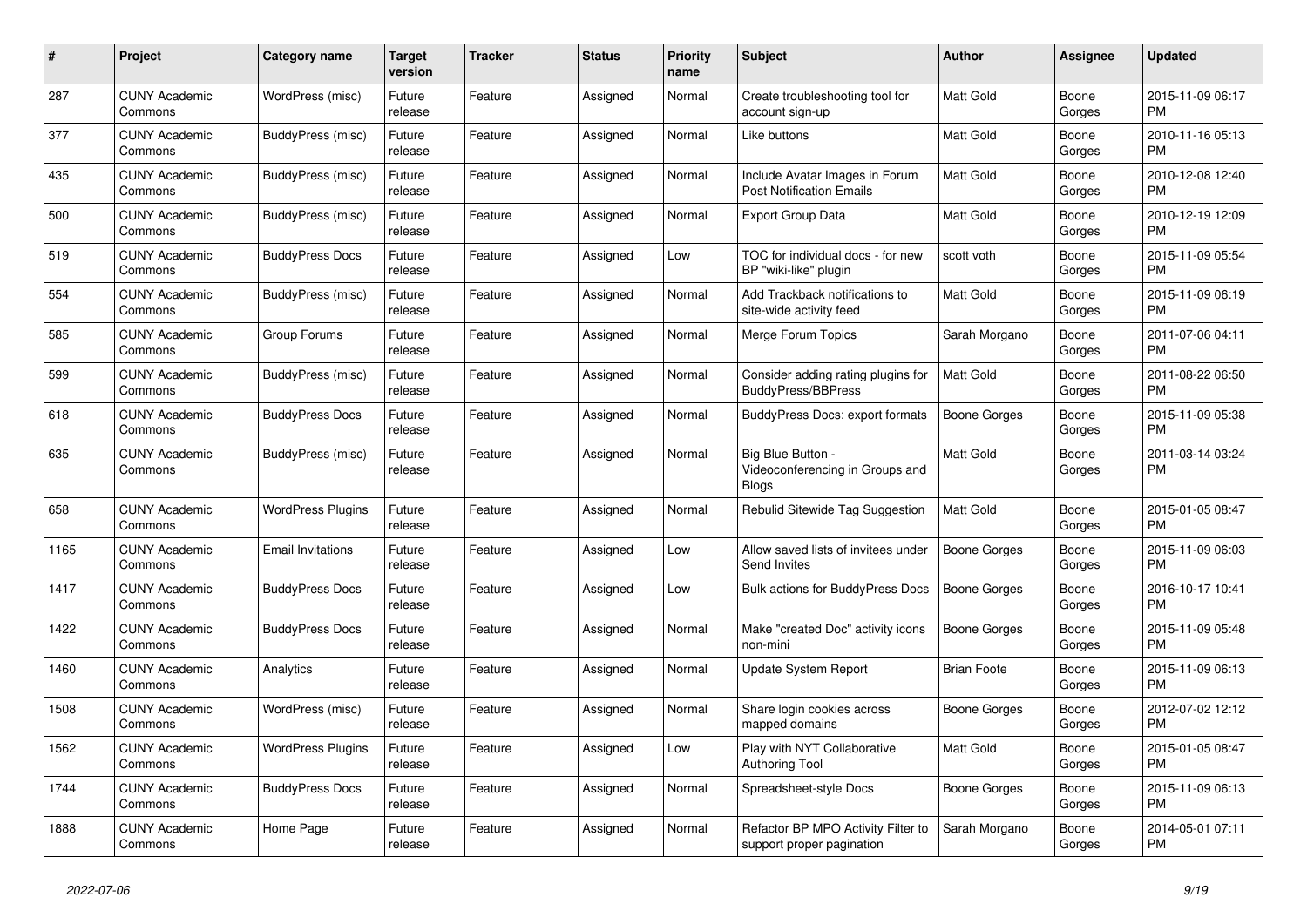| $\pmb{\#}$ | Project                         | <b>Category name</b>     | <b>Target</b><br>version | Tracker | <b>Status</b> | <b>Priority</b><br>name | <b>Subject</b>                                                       | <b>Author</b>      | Assignee        | <b>Updated</b>                |
|------------|---------------------------------|--------------------------|--------------------------|---------|---------------|-------------------------|----------------------------------------------------------------------|--------------------|-----------------|-------------------------------|
| 287        | <b>CUNY Academic</b><br>Commons | WordPress (misc)         | Future<br>release        | Feature | Assigned      | Normal                  | Create troubleshooting tool for<br>account sign-up                   | <b>Matt Gold</b>   | Boone<br>Gorges | 2015-11-09 06:17<br>PM        |
| 377        | <b>CUNY Academic</b><br>Commons | BuddyPress (misc)        | Future<br>release        | Feature | Assigned      | Normal                  | Like buttons                                                         | <b>Matt Gold</b>   | Boone<br>Gorges | 2010-11-16 05:13<br><b>PM</b> |
| 435        | <b>CUNY Academic</b><br>Commons | BuddyPress (misc)        | Future<br>release        | Feature | Assigned      | Normal                  | Include Avatar Images in Forum<br><b>Post Notification Emails</b>    | <b>Matt Gold</b>   | Boone<br>Gorges | 2010-12-08 12:40<br><b>PM</b> |
| 500        | <b>CUNY Academic</b><br>Commons | BuddyPress (misc)        | Future<br>release        | Feature | Assigned      | Normal                  | <b>Export Group Data</b>                                             | <b>Matt Gold</b>   | Boone<br>Gorges | 2010-12-19 12:09<br>PM        |
| 519        | <b>CUNY Academic</b><br>Commons | <b>BuddyPress Docs</b>   | Future<br>release        | Feature | Assigned      | Low                     | TOC for individual docs - for new<br>BP "wiki-like" plugin           | scott voth         | Boone<br>Gorges | 2015-11-09 05:54<br>PM        |
| 554        | <b>CUNY Academic</b><br>Commons | BuddyPress (misc)        | Future<br>release        | Feature | Assigned      | Normal                  | Add Trackback notifications to<br>site-wide activity feed            | <b>Matt Gold</b>   | Boone<br>Gorges | 2015-11-09 06:19<br><b>PM</b> |
| 585        | <b>CUNY Academic</b><br>Commons | Group Forums             | Future<br>release        | Feature | Assigned      | Normal                  | Merge Forum Topics                                                   | Sarah Morgano      | Boone<br>Gorges | 2011-07-06 04:11<br><b>PM</b> |
| 599        | <b>CUNY Academic</b><br>Commons | <b>BuddyPress</b> (misc) | Future<br>release        | Feature | Assigned      | Normal                  | Consider adding rating plugins for<br>BuddyPress/BBPress             | <b>Matt Gold</b>   | Boone<br>Gorges | 2011-08-22 06:50<br>PM        |
| 618        | <b>CUNY Academic</b><br>Commons | <b>BuddyPress Docs</b>   | Future<br>release        | Feature | Assigned      | Normal                  | <b>BuddyPress Docs: export formats</b>                               | Boone Gorges       | Boone<br>Gorges | 2015-11-09 05:38<br>PM        |
| 635        | <b>CUNY Academic</b><br>Commons | BuddyPress (misc)        | Future<br>release        | Feature | Assigned      | Normal                  | Big Blue Button -<br>Videoconferencing in Groups and<br><b>Blogs</b> | <b>Matt Gold</b>   | Boone<br>Gorges | 2011-03-14 03:24<br><b>PM</b> |
| 658        | <b>CUNY Academic</b><br>Commons | <b>WordPress Plugins</b> | Future<br>release        | Feature | Assigned      | Normal                  | Rebulid Sitewide Tag Suggestion                                      | <b>Matt Gold</b>   | Boone<br>Gorges | 2015-01-05 08:47<br><b>PM</b> |
| 1165       | <b>CUNY Academic</b><br>Commons | <b>Email Invitations</b> | Future<br>release        | Feature | Assigned      | Low                     | Allow saved lists of invitees under<br>Send Invites                  | Boone Gorges       | Boone<br>Gorges | 2015-11-09 06:03<br><b>PM</b> |
| 1417       | <b>CUNY Academic</b><br>Commons | <b>BuddyPress Docs</b>   | Future<br>release        | Feature | Assigned      | Low                     | Bulk actions for BuddyPress Docs                                     | Boone Gorges       | Boone<br>Gorges | 2016-10-17 10:41<br><b>PM</b> |
| 1422       | <b>CUNY Academic</b><br>Commons | <b>BuddyPress Docs</b>   | Future<br>release        | Feature | Assigned      | Normal                  | Make "created Doc" activity icons<br>non-mini                        | Boone Gorges       | Boone<br>Gorges | 2015-11-09 05:48<br><b>PM</b> |
| 1460       | <b>CUNY Academic</b><br>Commons | Analytics                | Future<br>release        | Feature | Assigned      | Normal                  | Update System Report                                                 | <b>Brian Foote</b> | Boone<br>Gorges | 2015-11-09 06:13<br>PM        |
| 1508       | <b>CUNY Academic</b><br>Commons | WordPress (misc)         | Future<br>release        | Feature | Assigned      | Normal                  | Share login cookies across<br>mapped domains                         | Boone Gorges       | Boone<br>Gorges | 2012-07-02 12:12<br>PM        |
| 1562       | <b>CUNY Academic</b><br>Commons | <b>WordPress Plugins</b> | Future<br>release        | Feature | Assigned      | Low                     | Play with NYT Collaborative<br><b>Authoring Tool</b>                 | <b>Matt Gold</b>   | Boone<br>Gorges | 2015-01-05 08:47<br><b>PM</b> |
| 1744       | <b>CUNY Academic</b><br>Commons | <b>BuddyPress Docs</b>   | Future<br>release        | Feature | Assigned      | Normal                  | Spreadsheet-style Docs                                               | Boone Gorges       | Boone<br>Gorges | 2015-11-09 06:13<br>PM        |
| 1888       | <b>CUNY Academic</b><br>Commons | Home Page                | Future<br>release        | Feature | Assigned      | Normal                  | Refactor BP MPO Activity Filter to<br>support proper pagination      | Sarah Morgano      | Boone<br>Gorges | 2014-05-01 07:11<br>PM        |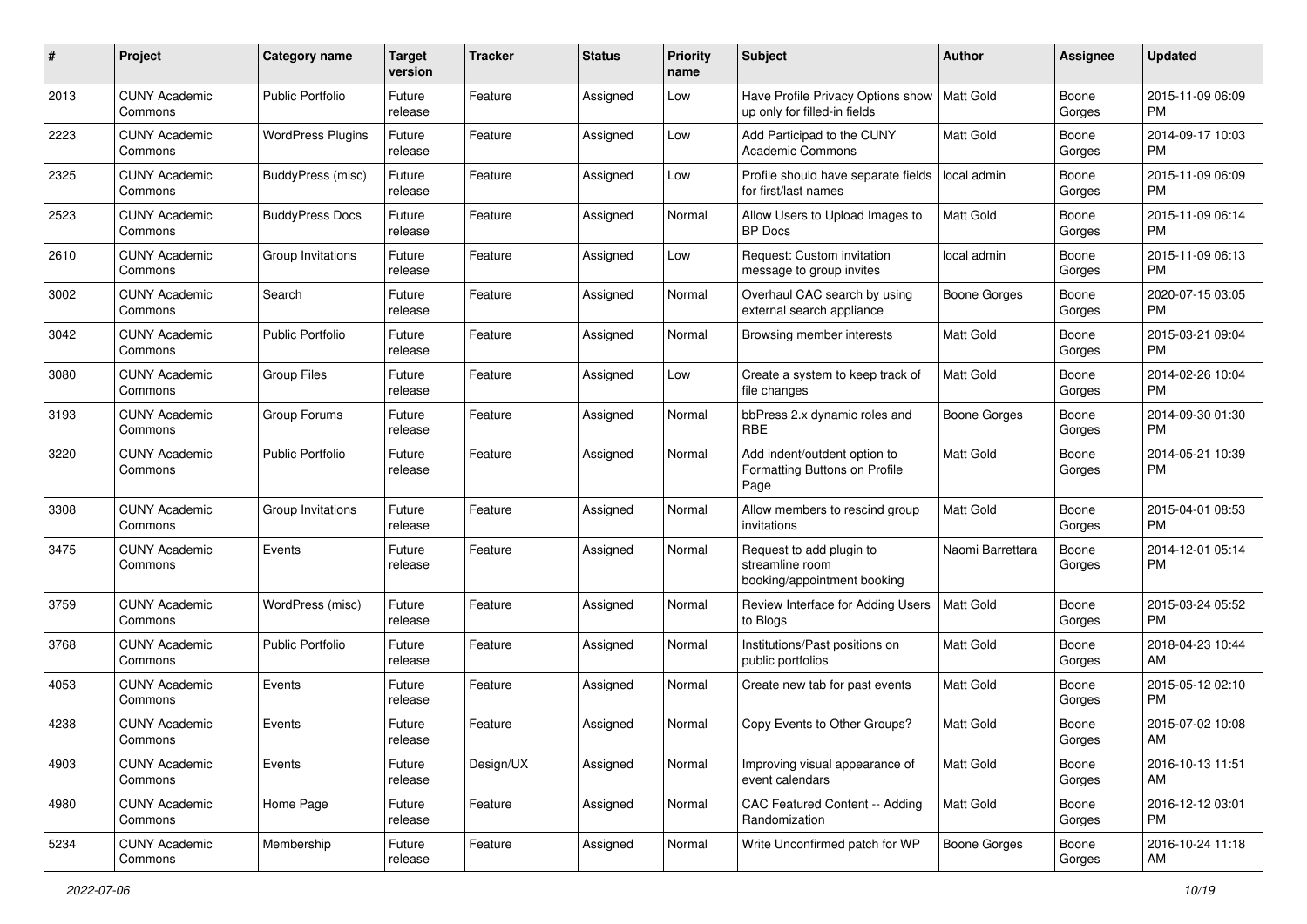| #    | Project                         | <b>Category name</b>     | <b>Target</b><br>version | <b>Tracker</b> | <b>Status</b> | <b>Priority</b><br>name | Subject                                                                    | Author              | Assignee        | <b>Updated</b>                |
|------|---------------------------------|--------------------------|--------------------------|----------------|---------------|-------------------------|----------------------------------------------------------------------------|---------------------|-----------------|-------------------------------|
| 2013 | <b>CUNY Academic</b><br>Commons | <b>Public Portfolio</b>  | Future<br>release        | Feature        | Assigned      | Low                     | Have Profile Privacy Options show<br>up only for filled-in fields          | Matt Gold           | Boone<br>Gorges | 2015-11-09 06:09<br>PM        |
| 2223 | <b>CUNY Academic</b><br>Commons | <b>WordPress Plugins</b> | Future<br>release        | Feature        | Assigned      | Low                     | Add Participad to the CUNY<br>Academic Commons                             | Matt Gold           | Boone<br>Gorges | 2014-09-17 10:03<br>PM        |
| 2325 | CUNY Academic<br>Commons        | BuddyPress (misc)        | Future<br>release        | Feature        | Assigned      | Low                     | Profile should have separate fields<br>for first/last names                | local admin         | Boone<br>Gorges | 2015-11-09 06:09<br><b>PM</b> |
| 2523 | <b>CUNY Academic</b><br>Commons | <b>BuddyPress Docs</b>   | Future<br>release        | Feature        | Assigned      | Normal                  | Allow Users to Upload Images to<br><b>BP</b> Docs                          | <b>Matt Gold</b>    | Boone<br>Gorges | 2015-11-09 06:14<br>PM        |
| 2610 | <b>CUNY Academic</b><br>Commons | Group Invitations        | Future<br>release        | Feature        | Assigned      | Low                     | Request: Custom invitation<br>message to group invites                     | local admin         | Boone<br>Gorges | 2015-11-09 06:13<br>PM        |
| 3002 | <b>CUNY Academic</b><br>Commons | Search                   | Future<br>release        | Feature        | Assigned      | Normal                  | Overhaul CAC search by using<br>external search appliance                  | Boone Gorges        | Boone<br>Gorges | 2020-07-15 03:05<br>PM        |
| 3042 | <b>CUNY Academic</b><br>Commons | <b>Public Portfolio</b>  | Future<br>release        | Feature        | Assigned      | Normal                  | Browsing member interests                                                  | <b>Matt Gold</b>    | Boone<br>Gorges | 2015-03-21 09:04<br><b>PM</b> |
| 3080 | <b>CUNY Academic</b><br>Commons | <b>Group Files</b>       | Future<br>release        | Feature        | Assigned      | Low                     | Create a system to keep track of<br>file changes                           | <b>Matt Gold</b>    | Boone<br>Gorges | 2014-02-26 10:04<br>PM        |
| 3193 | <b>CUNY Academic</b><br>Commons | Group Forums             | Future<br>release        | Feature        | Assigned      | Normal                  | bbPress 2.x dynamic roles and<br><b>RBE</b>                                | <b>Boone Gorges</b> | Boone<br>Gorges | 2014-09-30 01:30<br><b>PM</b> |
| 3220 | <b>CUNY Academic</b><br>Commons | <b>Public Portfolio</b>  | Future<br>release        | Feature        | Assigned      | Normal                  | Add indent/outdent option to<br>Formatting Buttons on Profile<br>Page      | <b>Matt Gold</b>    | Boone<br>Gorges | 2014-05-21 10:39<br><b>PM</b> |
| 3308 | <b>CUNY Academic</b><br>Commons | Group Invitations        | Future<br>release        | Feature        | Assigned      | Normal                  | Allow members to rescind group<br>invitations                              | Matt Gold           | Boone<br>Gorges | 2015-04-01 08:53<br>PM        |
| 3475 | <b>CUNY Academic</b><br>Commons | Events                   | Future<br>release        | Feature        | Assigned      | Normal                  | Request to add plugin to<br>streamline room<br>booking/appointment booking | Naomi Barrettara    | Boone<br>Gorges | 2014-12-01 05:14<br>PM        |
| 3759 | <b>CUNY Academic</b><br>Commons | WordPress (misc)         | Future<br>release        | Feature        | Assigned      | Normal                  | Review Interface for Adding Users<br>to Blogs                              | Matt Gold           | Boone<br>Gorges | 2015-03-24 05:52<br>PM        |
| 3768 | <b>CUNY Academic</b><br>Commons | <b>Public Portfolio</b>  | Future<br>release        | Feature        | Assigned      | Normal                  | Institutions/Past positions on<br>public portfolios                        | Matt Gold           | Boone<br>Gorges | 2018-04-23 10:44<br>AM        |
| 4053 | <b>CUNY Academic</b><br>Commons | Events                   | Future<br>release        | Feature        | Assigned      | Normal                  | Create new tab for past events                                             | <b>Matt Gold</b>    | Boone<br>Gorges | 2015-05-12 02:10<br>PM        |
| 4238 | <b>CUNY Academic</b><br>Commons | Events                   | Future<br>release        | Feature        | Assigned      | Normal                  | Copy Events to Other Groups?                                               | <b>Matt Gold</b>    | Boone<br>Gorges | 2015-07-02 10:08<br>AM        |
| 4903 | <b>CUNY Academic</b><br>Commons | Events                   | Future<br>release        | Design/UX      | Assigned      | Normal                  | Improving visual appearance of<br>event calendars                          | <b>Matt Gold</b>    | Boone<br>Gorges | 2016-10-13 11:51<br>AM        |
| 4980 | <b>CUNY Academic</b><br>Commons | Home Page                | Future<br>release        | Feature        | Assigned      | Normal                  | CAC Featured Content -- Adding<br>Randomization                            | Matt Gold           | Boone<br>Gorges | 2016-12-12 03:01<br><b>PM</b> |
| 5234 | <b>CUNY Academic</b><br>Commons | Membership               | Future<br>release        | Feature        | Assigned      | Normal                  | Write Unconfirmed patch for WP                                             | <b>Boone Gorges</b> | Boone<br>Gorges | 2016-10-24 11:18<br>AM        |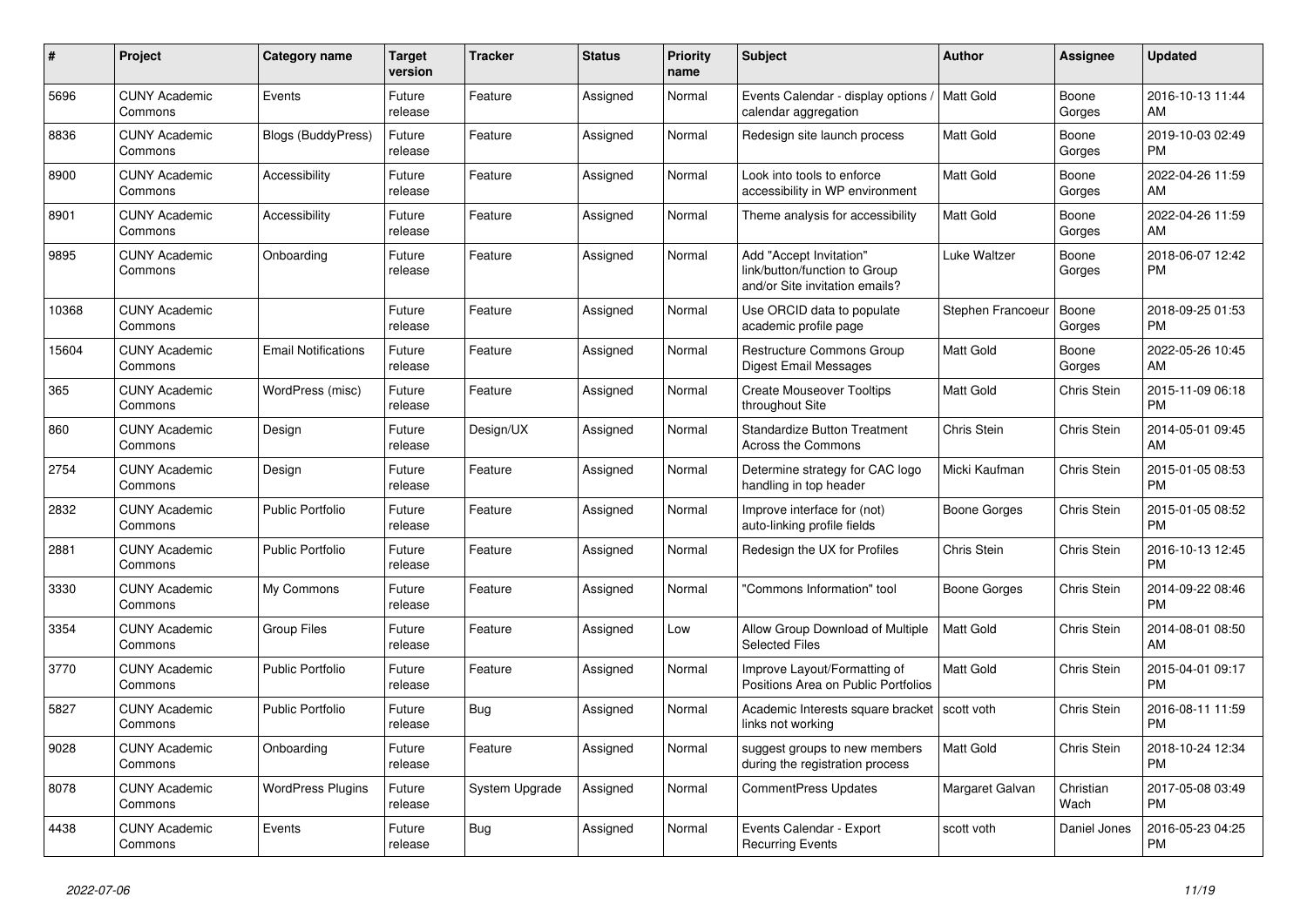| #     | <b>Project</b>                  | <b>Category name</b>       | <b>Target</b><br>version | <b>Tracker</b> | <b>Status</b> | <b>Priority</b><br>name | <b>Subject</b>                                                                             | <b>Author</b>     | Assignee           | <b>Updated</b>                |
|-------|---------------------------------|----------------------------|--------------------------|----------------|---------------|-------------------------|--------------------------------------------------------------------------------------------|-------------------|--------------------|-------------------------------|
| 5696  | <b>CUNY Academic</b><br>Commons | Events                     | Future<br>release        | Feature        | Assigned      | Normal                  | Events Calendar - display options /   Matt Gold<br>calendar aggregation                    |                   | Boone<br>Gorges    | 2016-10-13 11:44<br>AM        |
| 8836  | <b>CUNY Academic</b><br>Commons | <b>Blogs (BuddyPress)</b>  | Future<br>release        | Feature        | Assigned      | Normal                  | Redesign site launch process                                                               | <b>Matt Gold</b>  | Boone<br>Gorges    | 2019-10-03 02:49<br><b>PM</b> |
| 8900  | <b>CUNY Academic</b><br>Commons | Accessibility              | Future<br>release        | Feature        | Assigned      | Normal                  | Look into tools to enforce<br>accessibility in WP environment                              | <b>Matt Gold</b>  | Boone<br>Gorges    | 2022-04-26 11:59<br>AM        |
| 8901  | <b>CUNY Academic</b><br>Commons | Accessibility              | Future<br>release        | Feature        | Assigned      | Normal                  | Theme analysis for accessibility                                                           | <b>Matt Gold</b>  | Boone<br>Gorges    | 2022-04-26 11:59<br>AM        |
| 9895  | <b>CUNY Academic</b><br>Commons | Onboarding                 | Future<br>release        | Feature        | Assigned      | Normal                  | Add "Accept Invitation"<br>link/button/function to Group<br>and/or Site invitation emails? | Luke Waltzer      | Boone<br>Gorges    | 2018-06-07 12:42<br><b>PM</b> |
| 10368 | <b>CUNY Academic</b><br>Commons |                            | Future<br>release        | Feature        | Assigned      | Normal                  | Use ORCID data to populate<br>academic profile page                                        | Stephen Francoeur | Boone<br>Gorges    | 2018-09-25 01:53<br><b>PM</b> |
| 15604 | <b>CUNY Academic</b><br>Commons | <b>Email Notifications</b> | Future<br>release        | Feature        | Assigned      | Normal                  | <b>Restructure Commons Group</b><br>Digest Email Messages                                  | <b>Matt Gold</b>  | Boone<br>Gorges    | 2022-05-26 10:45<br>AM        |
| 365   | <b>CUNY Academic</b><br>Commons | WordPress (misc)           | Future<br>release        | Feature        | Assigned      | Normal                  | <b>Create Mouseover Tooltips</b><br>throughout Site                                        | <b>Matt Gold</b>  | Chris Stein        | 2015-11-09 06:18<br><b>PM</b> |
| 860   | <b>CUNY Academic</b><br>Commons | Design                     | Future<br>release        | Design/UX      | Assigned      | Normal                  | <b>Standardize Button Treatment</b><br><b>Across the Commons</b>                           | Chris Stein       | <b>Chris Stein</b> | 2014-05-01 09:45<br>AM        |
| 2754  | <b>CUNY Academic</b><br>Commons | Design                     | Future<br>release        | Feature        | Assigned      | Normal                  | Determine strategy for CAC logo<br>handling in top header                                  | Micki Kaufman     | Chris Stein        | 2015-01-05 08:53<br><b>PM</b> |
| 2832  | <b>CUNY Academic</b><br>Commons | <b>Public Portfolio</b>    | Future<br>release        | Feature        | Assigned      | Normal                  | Improve interface for (not)<br>auto-linking profile fields                                 | Boone Gorges      | Chris Stein        | 2015-01-05 08:52<br><b>PM</b> |
| 2881  | <b>CUNY Academic</b><br>Commons | <b>Public Portfolio</b>    | Future<br>release        | Feature        | Assigned      | Normal                  | Redesign the UX for Profiles                                                               | Chris Stein       | <b>Chris Stein</b> | 2016-10-13 12:45<br><b>PM</b> |
| 3330  | <b>CUNY Academic</b><br>Commons | My Commons                 | Future<br>release        | Feature        | Assigned      | Normal                  | 'Commons Information" tool                                                                 | Boone Gorges      | Chris Stein        | 2014-09-22 08:46<br><b>PM</b> |
| 3354  | <b>CUNY Academic</b><br>Commons | <b>Group Files</b>         | Future<br>release        | Feature        | Assigned      | Low                     | Allow Group Download of Multiple<br><b>Selected Files</b>                                  | <b>Matt Gold</b>  | Chris Stein        | 2014-08-01 08:50<br>AM        |
| 3770  | <b>CUNY Academic</b><br>Commons | <b>Public Portfolio</b>    | Future<br>release        | Feature        | Assigned      | Normal                  | Improve Layout/Formatting of<br>Positions Area on Public Portfolios                        | <b>Matt Gold</b>  | Chris Stein        | 2015-04-01 09:17<br><b>PM</b> |
| 5827  | <b>CUNY Academic</b><br>Commons | Public Portfolio           | Future<br>release        | Bug            | Assigned      | Normal                  | Academic Interests square bracket<br>links not working                                     | scott voth        | Chris Stein        | 2016-08-11 11:59<br><b>PM</b> |
| 9028  | <b>CUNY Academic</b><br>Commons | Onboarding                 | Future<br>release        | Feature        | Assigned      | Normal                  | suggest groups to new members<br>during the registration process                           | <b>Matt Gold</b>  | Chris Stein        | 2018-10-24 12:34<br><b>PM</b> |
| 8078  | <b>CUNY Academic</b><br>Commons | <b>WordPress Plugins</b>   | Future<br>release        | System Upgrade | Assigned      | Normal                  | <b>CommentPress Updates</b>                                                                | Margaret Galvan   | Christian<br>Wach  | 2017-05-08 03:49<br><b>PM</b> |
| 4438  | <b>CUNY Academic</b><br>Commons | Events                     | Future<br>release        | Bug            | Assigned      | Normal                  | Events Calendar - Export<br><b>Recurring Events</b>                                        | scott voth        | Daniel Jones       | 2016-05-23 04:25<br><b>PM</b> |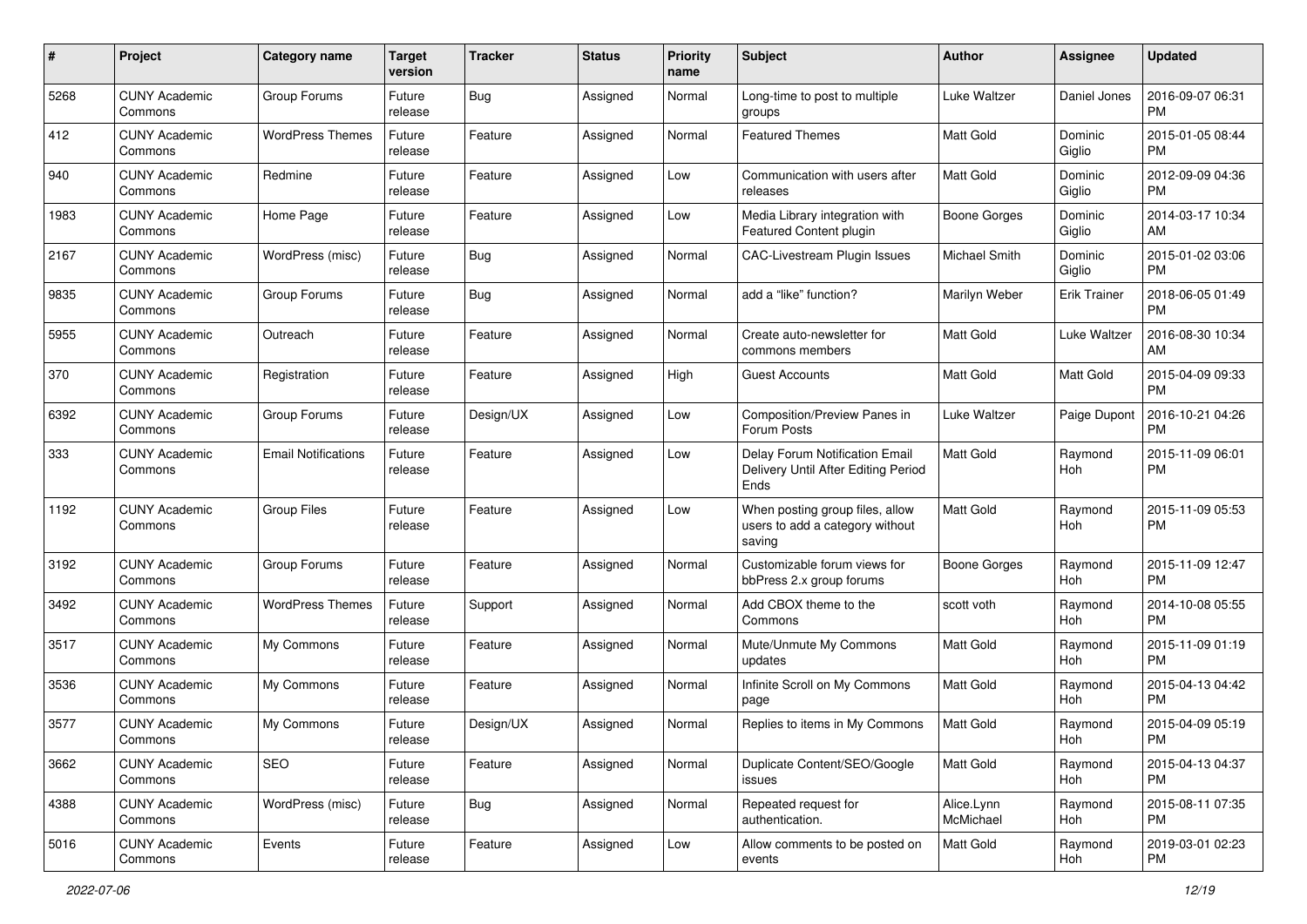| #    | Project                         | <b>Category name</b>       | <b>Target</b><br>version | <b>Tracker</b> | <b>Status</b> | <b>Priority</b><br>name | <b>Subject</b>                                                                | Author                  | <b>Assignee</b>     | <b>Updated</b>                |
|------|---------------------------------|----------------------------|--------------------------|----------------|---------------|-------------------------|-------------------------------------------------------------------------------|-------------------------|---------------------|-------------------------------|
| 5268 | <b>CUNY Academic</b><br>Commons | Group Forums               | Future<br>release        | Bug            | Assigned      | Normal                  | Long-time to post to multiple<br>groups                                       | Luke Waltzer            | Daniel Jones        | 2016-09-07 06:31<br><b>PM</b> |
| 412  | <b>CUNY Academic</b><br>Commons | <b>WordPress Themes</b>    | Future<br>release        | Feature        | Assigned      | Normal                  | <b>Featured Themes</b>                                                        | Matt Gold               | Dominic<br>Giglio   | 2015-01-05 08:44<br><b>PM</b> |
| 940  | CUNY Academic<br>Commons        | Redmine                    | Future<br>release        | Feature        | Assigned      | Low                     | Communication with users after<br>releases                                    | Matt Gold               | Dominic<br>Giglio   | 2012-09-09 04:36<br><b>PM</b> |
| 1983 | <b>CUNY Academic</b><br>Commons | Home Page                  | Future<br>release        | Feature        | Assigned      | Low                     | Media Library integration with<br>Featured Content plugin                     | <b>Boone Gorges</b>     | Dominic<br>Giglio   | 2014-03-17 10:34<br>AM        |
| 2167 | CUNY Academic<br>Commons        | WordPress (misc)           | Future<br>release        | <b>Bug</b>     | Assigned      | Normal                  | <b>CAC-Livestream Plugin Issues</b>                                           | Michael Smith           | Dominic<br>Giglio   | 2015-01-02 03:06<br><b>PM</b> |
| 9835 | <b>CUNY Academic</b><br>Commons | Group Forums               | Future<br>release        | <b>Bug</b>     | Assigned      | Normal                  | add a "like" function?                                                        | Marilyn Weber           | <b>Erik Trainer</b> | 2018-06-05 01:49<br><b>PM</b> |
| 5955 | <b>CUNY Academic</b><br>Commons | Outreach                   | Future<br>release        | Feature        | Assigned      | Normal                  | Create auto-newsletter for<br>commons members                                 | Matt Gold               | Luke Waltzer        | 2016-08-30 10:34<br>AM        |
| 370  | <b>CUNY Academic</b><br>Commons | Registration               | Future<br>release        | Feature        | Assigned      | High                    | <b>Guest Accounts</b>                                                         | <b>Matt Gold</b>        | Matt Gold           | 2015-04-09 09:33<br>PM        |
| 6392 | <b>CUNY Academic</b><br>Commons | Group Forums               | Future<br>release        | Design/UX      | Assigned      | Low                     | Composition/Preview Panes in<br>Forum Posts                                   | Luke Waltzer            | Paige Dupont        | 2016-10-21 04:26<br><b>PM</b> |
| 333  | <b>CUNY Academic</b><br>Commons | <b>Email Notifications</b> | Future<br>release        | Feature        | Assigned      | Low                     | Delay Forum Notification Email<br>Delivery Until After Editing Period<br>Ends | Matt Gold               | Raymond<br>Hoh      | 2015-11-09 06:01<br><b>PM</b> |
| 1192 | <b>CUNY Academic</b><br>Commons | <b>Group Files</b>         | Future<br>release        | Feature        | Assigned      | Low                     | When posting group files, allow<br>users to add a category without<br>saving  | Matt Gold               | Raymond<br>Hoh      | 2015-11-09 05:53<br><b>PM</b> |
| 3192 | <b>CUNY Academic</b><br>Commons | Group Forums               | Future<br>release        | Feature        | Assigned      | Normal                  | Customizable forum views for<br>bbPress 2.x group forums                      | Boone Gorges            | Raymond<br>Hoh      | 2015-11-09 12:47<br><b>PM</b> |
| 3492 | <b>CUNY Academic</b><br>Commons | <b>WordPress Themes</b>    | Future<br>release        | Support        | Assigned      | Normal                  | Add CBOX theme to the<br>Commons                                              | scott voth              | Raymond<br>Hoh      | 2014-10-08 05:55<br><b>PM</b> |
| 3517 | <b>CUNY Academic</b><br>Commons | My Commons                 | Future<br>release        | Feature        | Assigned      | Normal                  | Mute/Unmute My Commons<br>updates                                             | <b>Matt Gold</b>        | Raymond<br>Hoh      | 2015-11-09 01:19<br><b>PM</b> |
| 3536 | <b>CUNY Academic</b><br>Commons | My Commons                 | Future<br>release        | Feature        | Assigned      | Normal                  | Infinite Scroll on My Commons<br>page                                         | Matt Gold               | Raymond<br>Hoh      | 2015-04-13 04:42<br><b>PM</b> |
| 3577 | <b>CUNY Academic</b><br>Commons | My Commons                 | Future<br>release        | Design/UX      | Assigned      | Normal                  | Replies to items in My Commons                                                | <b>Matt Gold</b>        | Raymond<br>Hoh      | 2015-04-09 05:19<br>PM        |
| 3662 | <b>CUNY Academic</b><br>Commons | SEO                        | Future<br>release        | Feature        | Assigned      | Normal                  | Duplicate Content/SEO/Google<br>issues                                        | <b>Matt Gold</b>        | Ravmond<br>Hoh      | 2015-04-13 04:37<br><b>PM</b> |
| 4388 | <b>CUNY Academic</b><br>Commons | WordPress (misc)           | Future<br>release        | <b>Bug</b>     | Assigned      | Normal                  | Repeated request for<br>authentication.                                       | Alice.Lynn<br>McMichael | Raymond<br>Hoh      | 2015-08-11 07:35<br><b>PM</b> |
| 5016 | <b>CUNY Academic</b><br>Commons | Events                     | Future<br>release        | Feature        | Assigned      | Low                     | Allow comments to be posted on<br>events                                      | Matt Gold               | Raymond<br>Hoh      | 2019-03-01 02:23<br><b>PM</b> |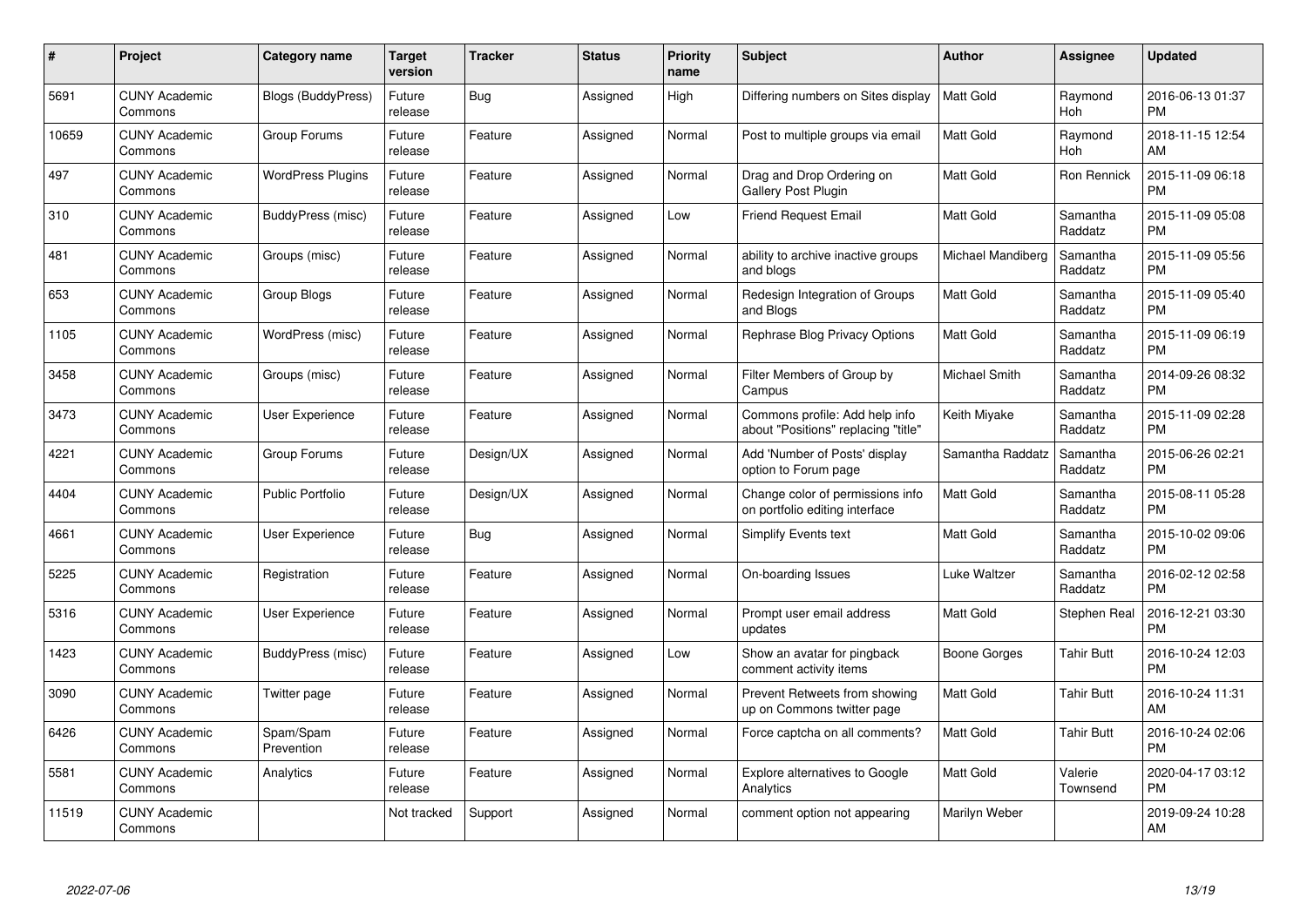| $\#$  | Project                         | <b>Category name</b>     | <b>Target</b><br>version | <b>Tracker</b> | <b>Status</b> | <b>Priority</b><br>name | <b>Subject</b>                                                        | <b>Author</b>        | <b>Assignee</b>     | <b>Updated</b>                |
|-------|---------------------------------|--------------------------|--------------------------|----------------|---------------|-------------------------|-----------------------------------------------------------------------|----------------------|---------------------|-------------------------------|
| 5691  | <b>CUNY Academic</b><br>Commons | Blogs (BuddyPress)       | Future<br>release        | Bug            | Assigned      | High                    | Differing numbers on Sites display                                    | <b>Matt Gold</b>     | Raymond<br>Hoh      | 2016-06-13 01:37<br><b>PM</b> |
| 10659 | <b>CUNY Academic</b><br>Commons | Group Forums             | Future<br>release        | Feature        | Assigned      | Normal                  | Post to multiple groups via email                                     | <b>Matt Gold</b>     | Raymond<br>Hoh      | 2018-11-15 12:54<br>AM        |
| 497   | <b>CUNY Academic</b><br>Commons | <b>WordPress Plugins</b> | Future<br>release        | Feature        | Assigned      | Normal                  | Drag and Drop Ordering on<br>Gallery Post Plugin                      | <b>Matt Gold</b>     | Ron Rennick         | 2015-11-09 06:18<br><b>PM</b> |
| 310   | <b>CUNY Academic</b><br>Commons | BuddyPress (misc)        | Future<br>release        | Feature        | Assigned      | Low                     | <b>Friend Request Email</b>                                           | <b>Matt Gold</b>     | Samantha<br>Raddatz | 2015-11-09 05:08<br><b>PM</b> |
| 481   | <b>CUNY Academic</b><br>Commons | Groups (misc)            | Future<br>release        | Feature        | Assigned      | Normal                  | ability to archive inactive groups<br>and blogs                       | Michael Mandiberg    | Samantha<br>Raddatz | 2015-11-09 05:56<br><b>PM</b> |
| 653   | <b>CUNY Academic</b><br>Commons | Group Blogs              | Future<br>release        | Feature        | Assigned      | Normal                  | Redesign Integration of Groups<br>and Blogs                           | <b>Matt Gold</b>     | Samantha<br>Raddatz | 2015-11-09 05:40<br><b>PM</b> |
| 1105  | <b>CUNY Academic</b><br>Commons | WordPress (misc)         | Future<br>release        | Feature        | Assigned      | Normal                  | Rephrase Blog Privacy Options                                         | <b>Matt Gold</b>     | Samantha<br>Raddatz | 2015-11-09 06:19<br><b>PM</b> |
| 3458  | <b>CUNY Academic</b><br>Commons | Groups (misc)            | Future<br>release        | Feature        | Assigned      | Normal                  | Filter Members of Group by<br>Campus                                  | <b>Michael Smith</b> | Samantha<br>Raddatz | 2014-09-26 08:32<br><b>PM</b> |
| 3473  | <b>CUNY Academic</b><br>Commons | <b>User Experience</b>   | Future<br>release        | Feature        | Assigned      | Normal                  | Commons profile: Add help info<br>about "Positions" replacing "title" | Keith Miyake         | Samantha<br>Raddatz | 2015-11-09 02:28<br><b>PM</b> |
| 4221  | <b>CUNY Academic</b><br>Commons | Group Forums             | Future<br>release        | Design/UX      | Assigned      | Normal                  | Add 'Number of Posts' display<br>option to Forum page                 | Samantha Raddatz     | Samantha<br>Raddatz | 2015-06-26 02:21<br>PM        |
| 4404  | <b>CUNY Academic</b><br>Commons | <b>Public Portfolio</b>  | Future<br>release        | Design/UX      | Assigned      | Normal                  | Change color of permissions info<br>on portfolio editing interface    | <b>Matt Gold</b>     | Samantha<br>Raddatz | 2015-08-11 05:28<br><b>PM</b> |
| 4661  | <b>CUNY Academic</b><br>Commons | <b>User Experience</b>   | Future<br>release        | Bug            | Assigned      | Normal                  | <b>Simplify Events text</b>                                           | <b>Matt Gold</b>     | Samantha<br>Raddatz | 2015-10-02 09:06<br><b>PM</b> |
| 5225  | <b>CUNY Academic</b><br>Commons | Registration             | Future<br>release        | Feature        | Assigned      | Normal                  | On-boarding Issues                                                    | Luke Waltzer         | Samantha<br>Raddatz | 2016-02-12 02:58<br><b>PM</b> |
| 5316  | <b>CUNY Academic</b><br>Commons | <b>User Experience</b>   | Future<br>release        | Feature        | Assigned      | Normal                  | Prompt user email address<br>updates                                  | <b>Matt Gold</b>     | Stephen Real        | 2016-12-21 03:30<br><b>PM</b> |
| 1423  | <b>CUNY Academic</b><br>Commons | BuddyPress (misc)        | Future<br>release        | Feature        | Assigned      | Low                     | Show an avatar for pingback<br>comment activity items                 | Boone Gorges         | <b>Tahir Butt</b>   | 2016-10-24 12:03<br><b>PM</b> |
| 3090  | <b>CUNY Academic</b><br>Commons | Twitter page             | Future<br>release        | Feature        | Assigned      | Normal                  | Prevent Retweets from showing<br>up on Commons twitter page           | <b>Matt Gold</b>     | <b>Tahir Butt</b>   | 2016-10-24 11:31<br>AM        |
| 6426  | <b>CUNY Academic</b><br>Commons | Spam/Spam<br>Prevention  | Future<br>release        | Feature        | Assigned      | Normal                  | Force captcha on all comments?                                        | <b>Matt Gold</b>     | Tahir Butt          | 2016-10-24 02:06<br><b>PM</b> |
| 5581  | <b>CUNY Academic</b><br>Commons | Analytics                | Future<br>release        | Feature        | Assigned      | Normal                  | <b>Explore alternatives to Google</b><br>Analytics                    | Matt Gold            | Valerie<br>Townsend | 2020-04-17 03:12<br><b>PM</b> |
| 11519 | <b>CUNY Academic</b><br>Commons |                          | Not tracked              | Support        | Assigned      | Normal                  | comment option not appearing                                          | Marilyn Weber        |                     | 2019-09-24 10:28<br>AM        |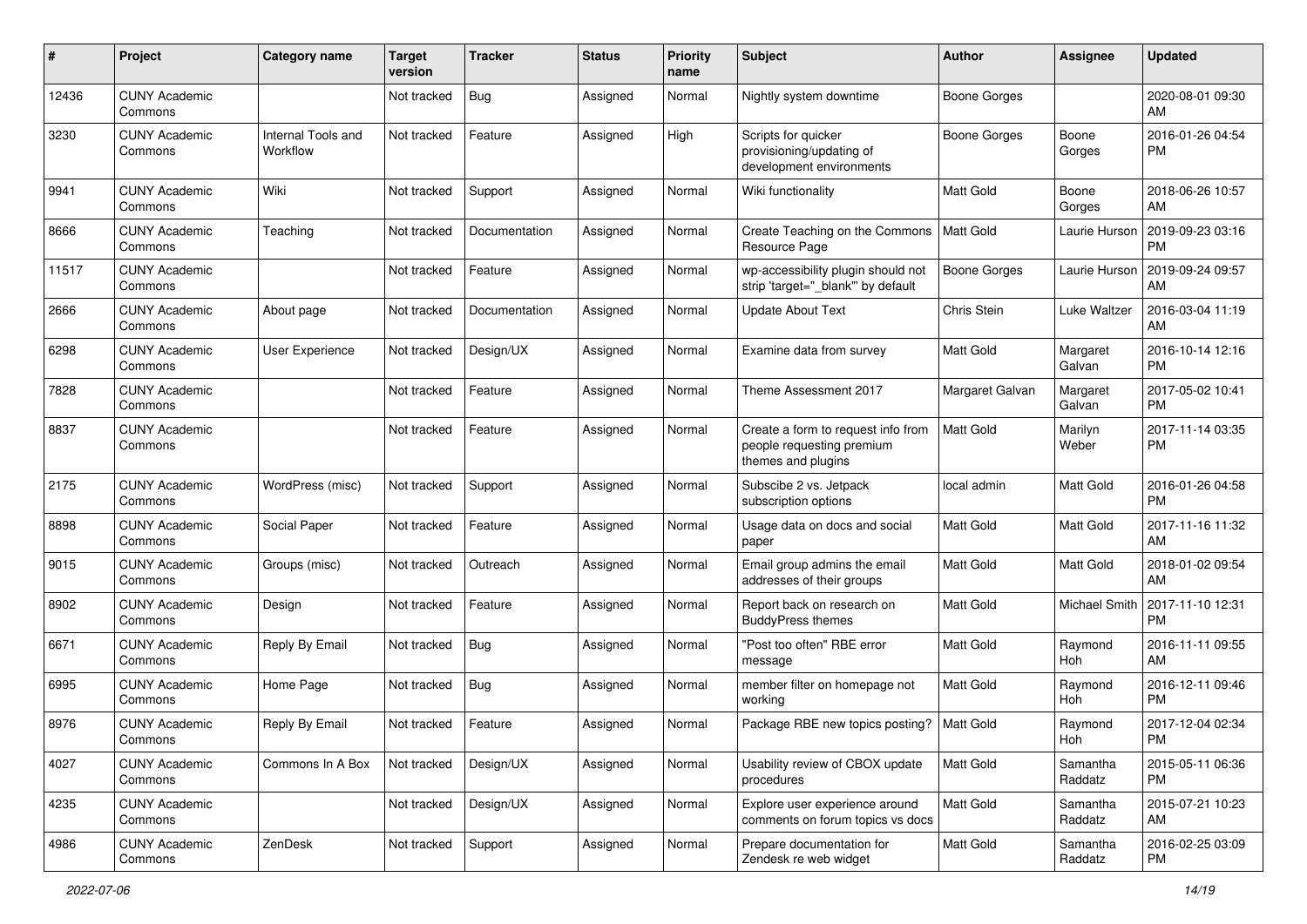| #     | Project                         | <b>Category name</b>           | <b>Target</b><br>version | <b>Tracker</b> | <b>Status</b> | Priority<br>name | <b>Subject</b>                                                                        | Author              | <b>Assignee</b>     | <b>Updated</b>                |
|-------|---------------------------------|--------------------------------|--------------------------|----------------|---------------|------------------|---------------------------------------------------------------------------------------|---------------------|---------------------|-------------------------------|
| 12436 | <b>CUNY Academic</b><br>Commons |                                | Not tracked              | <b>Bug</b>     | Assigned      | Normal           | Nightly system downtime                                                               | <b>Boone Gorges</b> |                     | 2020-08-01 09:30<br>AM        |
| 3230  | <b>CUNY Academic</b><br>Commons | Internal Tools and<br>Workflow | Not tracked              | Feature        | Assigned      | High             | Scripts for quicker<br>provisioning/updating of<br>development environments           | <b>Boone Gorges</b> | Boone<br>Gorges     | 2016-01-26 04:54<br><b>PM</b> |
| 9941  | <b>CUNY Academic</b><br>Commons | Wiki                           | Not tracked              | Support        | Assigned      | Normal           | Wiki functionality                                                                    | <b>Matt Gold</b>    | Boone<br>Gorges     | 2018-06-26 10:57<br>AM        |
| 8666  | <b>CUNY Academic</b><br>Commons | Teaching                       | Not tracked              | Documentation  | Assigned      | Normal           | Create Teaching on the Commons<br>Resource Page                                       | Matt Gold           | Laurie Hurson       | 2019-09-23 03:16<br><b>PM</b> |
| 11517 | <b>CUNY Academic</b><br>Commons |                                | Not tracked              | Feature        | Assigned      | Normal           | wp-accessibility plugin should not<br>strip 'target=" blank" by default               | <b>Boone Gorges</b> | Laurie Hurson       | 2019-09-24 09:57<br>AM        |
| 2666  | <b>CUNY Academic</b><br>Commons | About page                     | Not tracked              | Documentation  | Assigned      | Normal           | <b>Update About Text</b>                                                              | Chris Stein         | Luke Waltzer        | 2016-03-04 11:19<br>AM        |
| 6298  | <b>CUNY Academic</b><br>Commons | <b>User Experience</b>         | Not tracked              | Design/UX      | Assigned      | Normal           | Examine data from survey                                                              | <b>Matt Gold</b>    | Margaret<br>Galvan  | 2016-10-14 12:16<br><b>PM</b> |
| 7828  | <b>CUNY Academic</b><br>Commons |                                | Not tracked              | Feature        | Assigned      | Normal           | Theme Assessment 2017                                                                 | Margaret Galvan     | Margaret<br>Galvan  | 2017-05-02 10:41<br><b>PM</b> |
| 8837  | <b>CUNY Academic</b><br>Commons |                                | Not tracked              | Feature        | Assigned      | Normal           | Create a form to request info from<br>people requesting premium<br>themes and plugins | <b>Matt Gold</b>    | Marilyn<br>Weber    | 2017-11-14 03:35<br><b>PM</b> |
| 2175  | <b>CUNY Academic</b><br>Commons | WordPress (misc)               | Not tracked              | Support        | Assigned      | Normal           | Subscibe 2 vs. Jetpack<br>subscription options                                        | local admin         | Matt Gold           | 2016-01-26 04:58<br><b>PM</b> |
| 8898  | <b>CUNY Academic</b><br>Commons | Social Paper                   | Not tracked              | Feature        | Assigned      | Normal           | Usage data on docs and social<br>paper                                                | <b>Matt Gold</b>    | Matt Gold           | 2017-11-16 11:32<br>AM        |
| 9015  | <b>CUNY Academic</b><br>Commons | Groups (misc)                  | Not tracked              | Outreach       | Assigned      | Normal           | Email group admins the email<br>addresses of their groups                             | <b>Matt Gold</b>    | Matt Gold           | 2018-01-02 09:54<br>AM        |
| 8902  | <b>CUNY Academic</b><br>Commons | Design                         | Not tracked              | Feature        | Assigned      | Normal           | Report back on research on<br><b>BuddyPress themes</b>                                | <b>Matt Gold</b>    | Michael Smith       | 2017-11-10 12:31<br><b>PM</b> |
| 6671  | <b>CUNY Academic</b><br>Commons | Reply By Email                 | Not tracked              | Bug            | Assigned      | Normal           | "Post too often" RBE error<br>message                                                 | <b>Matt Gold</b>    | Raymond<br>Hoh      | 2016-11-11 09:55<br>AM        |
| 6995  | <b>CUNY Academic</b><br>Commons | Home Page                      | Not tracked              | Bug            | Assigned      | Normal           | member filter on homepage not<br>workina                                              | Matt Gold           | Raymond<br>Hoh      | 2016-12-11 09:46<br><b>PM</b> |
| 8976  | <b>CUNY Academic</b><br>Commons | Reply By Email                 | Not tracked              | Feature        | Assigned      | Normal           | Package RBE new topics posting?                                                       | Matt Gold           | Raymond<br>Hoh      | 2017-12-04 02:34<br>PM        |
| 4027  | <b>CUNY Academic</b><br>Commons | Commons In A Box               | Not tracked              | Design/UX      | Assigned      | Normal           | Usability review of CBOX update<br>procedures                                         | Matt Gold           | Samantha<br>Raddatz | 2015-05-11 06:36<br>PM        |
| 4235  | <b>CUNY Academic</b><br>Commons |                                | Not tracked              | Design/UX      | Assigned      | Normal           | Explore user experience around<br>comments on forum topics vs docs                    | Matt Gold           | Samantha<br>Raddatz | 2015-07-21 10:23<br>AM        |
| 4986  | <b>CUNY Academic</b><br>Commons | ZenDesk                        | Not tracked              | Support        | Assigned      | Normal           | Prepare documentation for<br>Zendesk re web widget                                    | Matt Gold           | Samantha<br>Raddatz | 2016-02-25 03:09<br><b>PM</b> |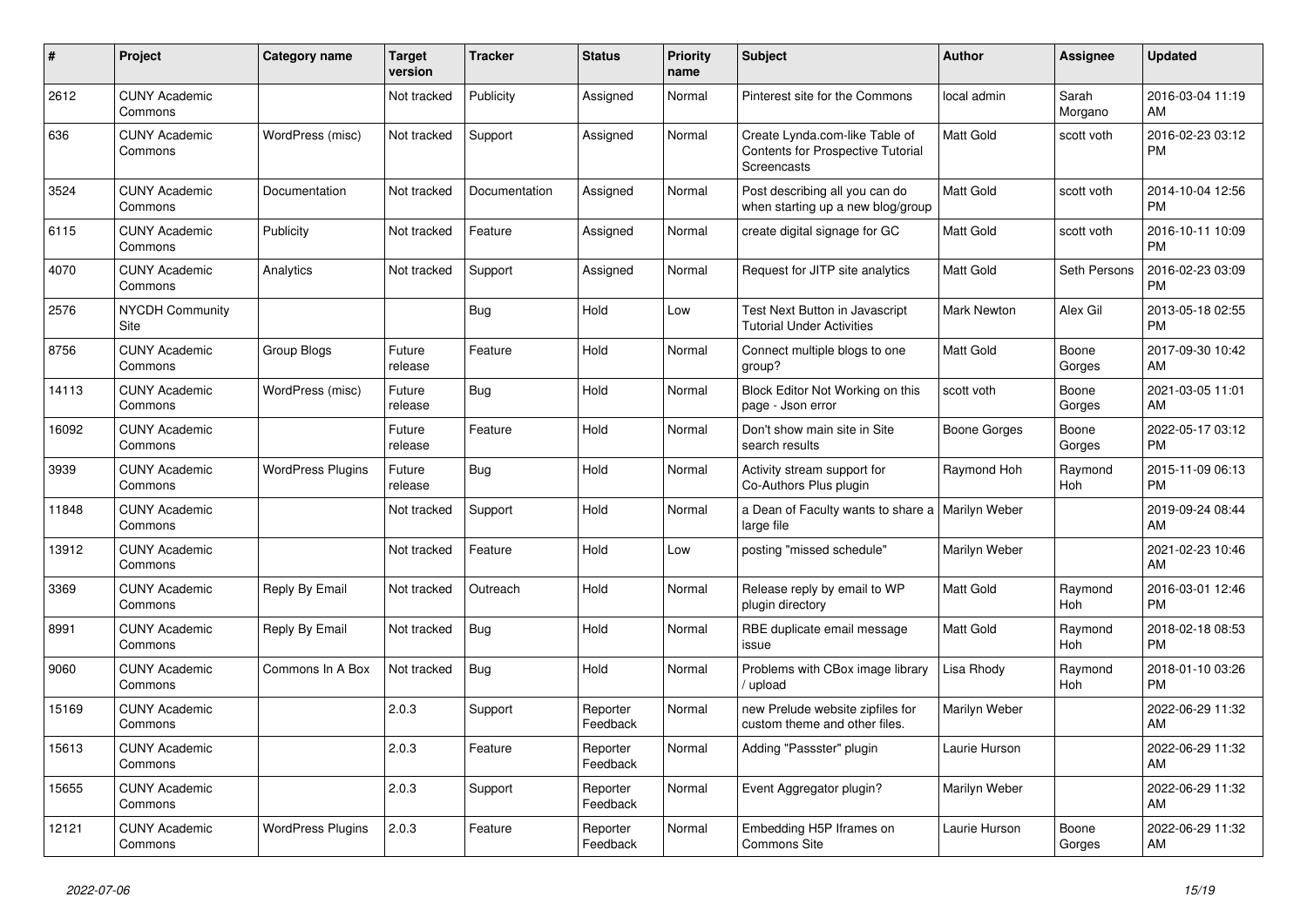| #     | Project                         | <b>Category name</b>     | <b>Target</b><br>version | <b>Tracker</b> | <b>Status</b>        | <b>Priority</b><br>name | <b>Subject</b>                                                                     | <b>Author</b>    | <b>Assignee</b>  | <b>Updated</b>                |
|-------|---------------------------------|--------------------------|--------------------------|----------------|----------------------|-------------------------|------------------------------------------------------------------------------------|------------------|------------------|-------------------------------|
| 2612  | <b>CUNY Academic</b><br>Commons |                          | Not tracked              | Publicity      | Assigned             | Normal                  | Pinterest site for the Commons                                                     | local admin      | Sarah<br>Morgano | 2016-03-04 11:19<br>AM        |
| 636   | <b>CUNY Academic</b><br>Commons | WordPress (misc)         | Not tracked              | Support        | Assigned             | Normal                  | Create Lynda.com-like Table of<br>Contents for Prospective Tutorial<br>Screencasts | <b>Matt Gold</b> | scott voth       | 2016-02-23 03:12<br><b>PM</b> |
| 3524  | <b>CUNY Academic</b><br>Commons | Documentation            | Not tracked              | Documentation  | Assigned             | Normal                  | Post describing all you can do<br>when starting up a new blog/group                | <b>Matt Gold</b> | scott voth       | 2014-10-04 12:56<br><b>PM</b> |
| 6115  | <b>CUNY Academic</b><br>Commons | Publicity                | Not tracked              | Feature        | Assigned             | Normal                  | create digital signage for GC                                                      | <b>Matt Gold</b> | scott voth       | 2016-10-11 10:09<br><b>PM</b> |
| 4070  | <b>CUNY Academic</b><br>Commons | Analytics                | Not tracked              | Support        | Assigned             | Normal                  | Request for JITP site analytics                                                    | <b>Matt Gold</b> | Seth Persons     | 2016-02-23 03:09<br><b>PM</b> |
| 2576  | <b>NYCDH Community</b><br>Site  |                          |                          | Bug            | Hold                 | Low                     | Test Next Button in Javascript<br><b>Tutorial Under Activities</b>                 | Mark Newton      | Alex Gil         | 2013-05-18 02:55<br><b>PM</b> |
| 8756  | <b>CUNY Academic</b><br>Commons | Group Blogs              | Future<br>release        | Feature        | Hold                 | Normal                  | Connect multiple blogs to one<br>group?                                            | <b>Matt Gold</b> | Boone<br>Gorges  | 2017-09-30 10:42<br>AM        |
| 14113 | <b>CUNY Academic</b><br>Commons | WordPress (misc)         | Future<br>release        | Bug            | Hold                 | Normal                  | Block Editor Not Working on this<br>page - Json error                              | scott voth       | Boone<br>Gorges  | 2021-03-05 11:01<br>AM        |
| 16092 | <b>CUNY Academic</b><br>Commons |                          | Future<br>release        | Feature        | Hold                 | Normal                  | Don't show main site in Site<br>search results                                     | Boone Gorges     | Boone<br>Gorges  | 2022-05-17 03:12<br><b>PM</b> |
| 3939  | <b>CUNY Academic</b><br>Commons | <b>WordPress Plugins</b> | Future<br>release        | Bug            | Hold                 | Normal                  | Activity stream support for<br>Co-Authors Plus plugin                              | Raymond Hoh      | Raymond<br>Hoh   | 2015-11-09 06:13<br><b>PM</b> |
| 11848 | <b>CUNY Academic</b><br>Commons |                          | Not tracked              | Support        | Hold                 | Normal                  | a Dean of Faculty wants to share a   Marilyn Weber<br>large file                   |                  |                  | 2019-09-24 08:44<br>AM        |
| 13912 | <b>CUNY Academic</b><br>Commons |                          | Not tracked              | Feature        | Hold                 | Low                     | posting "missed schedule"                                                          | Marilyn Weber    |                  | 2021-02-23 10:46<br>AM        |
| 3369  | <b>CUNY Academic</b><br>Commons | Reply By Email           | Not tracked              | Outreach       | Hold                 | Normal                  | Release reply by email to WP<br>plugin directory                                   | <b>Matt Gold</b> | Raymond<br>Hoh   | 2016-03-01 12:46<br><b>PM</b> |
| 8991  | <b>CUNY Academic</b><br>Commons | Reply By Email           | Not tracked              | <b>Bug</b>     | Hold                 | Normal                  | RBE duplicate email message<br>issue                                               | <b>Matt Gold</b> | Raymond<br>Hoh   | 2018-02-18 08:53<br><b>PM</b> |
| 9060  | <b>CUNY Academic</b><br>Commons | Commons In A Box         | Not tracked              | <b>Bug</b>     | Hold                 | Normal                  | Problems with CBox image library<br>upload                                         | Lisa Rhody       | Raymond<br>Hoh   | 2018-01-10 03:26<br><b>PM</b> |
| 15169 | <b>CUNY Academic</b><br>Commons |                          | 2.0.3                    | Support        | Reporter<br>Feedback | Normal                  | new Prelude website zipfiles for<br>custom theme and other files.                  | Marilyn Weber    |                  | 2022-06-29 11:32<br>AM        |
| 15613 | <b>CUNY Academic</b><br>Commons |                          | 2.0.3                    | Feature        | Reporter<br>Feedback | Normal                  | Adding "Passster" plugin                                                           | Laurie Hurson    |                  | 2022-06-29 11:32<br>AM        |
| 15655 | <b>CUNY Academic</b><br>Commons |                          | 2.0.3                    | Support        | Reporter<br>Feedback | Normal                  | Event Aggregator plugin?                                                           | Marilyn Weber    |                  | 2022-06-29 11:32<br>AM        |
| 12121 | <b>CUNY Academic</b><br>Commons | <b>WordPress Plugins</b> | 2.0.3                    | Feature        | Reporter<br>Feedback | Normal                  | Embedding H5P Iframes on<br><b>Commons Site</b>                                    | Laurie Hurson    | Boone<br>Gorges  | 2022-06-29 11:32<br>AM        |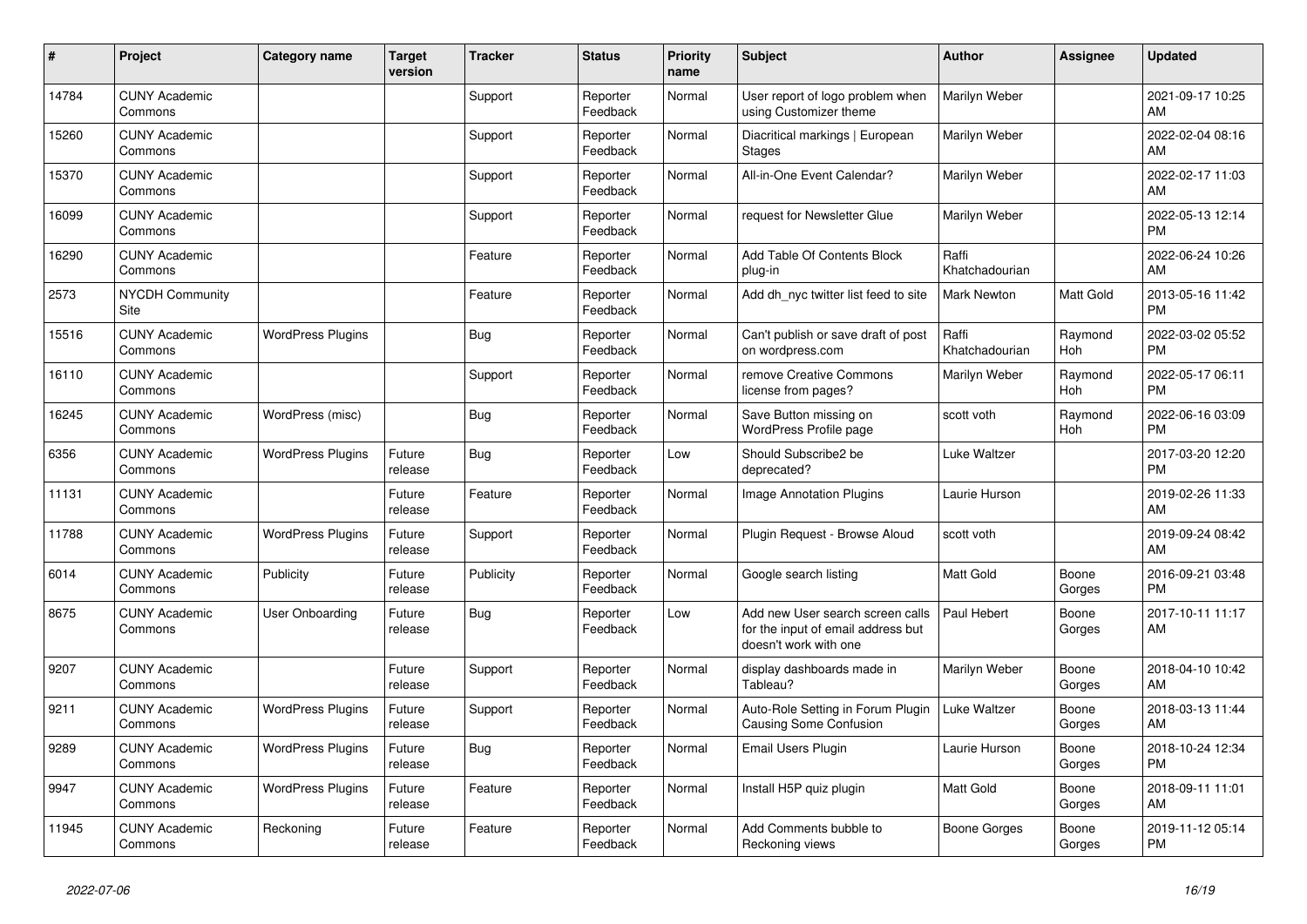| #     | Project                               | <b>Category name</b>     | <b>Target</b><br>version | <b>Tracker</b> | <b>Status</b>        | <b>Priority</b><br>name | <b>Subject</b>                                                                                  | <b>Author</b>           | Assignee        | <b>Updated</b>                |
|-------|---------------------------------------|--------------------------|--------------------------|----------------|----------------------|-------------------------|-------------------------------------------------------------------------------------------------|-------------------------|-----------------|-------------------------------|
| 14784 | <b>CUNY Academic</b><br>Commons       |                          |                          | Support        | Reporter<br>Feedback | Normal                  | User report of logo problem when<br>using Customizer theme                                      | Marilyn Weber           |                 | 2021-09-17 10:25<br>AM        |
| 15260 | <b>CUNY Academic</b><br>Commons       |                          |                          | Support        | Reporter<br>Feedback | Normal                  | Diacritical markings   European<br>Stages                                                       | Marilyn Weber           |                 | 2022-02-04 08:16<br>AM        |
| 15370 | <b>CUNY Academic</b><br>Commons       |                          |                          | Support        | Reporter<br>Feedback | Normal                  | All-in-One Event Calendar?                                                                      | Marilyn Weber           |                 | 2022-02-17 11:03<br>AM        |
| 16099 | <b>CUNY Academic</b><br>Commons       |                          |                          | Support        | Reporter<br>Feedback | Normal                  | request for Newsletter Glue                                                                     | Marilyn Weber           |                 | 2022-05-13 12:14<br><b>PM</b> |
| 16290 | <b>CUNY Academic</b><br>Commons       |                          |                          | Feature        | Reporter<br>Feedback | Normal                  | Add Table Of Contents Block<br>plug-in                                                          | Raffi<br>Khatchadourian |                 | 2022-06-24 10:26<br>AM        |
| 2573  | <b>NYCDH Community</b><br><b>Site</b> |                          |                          | Feature        | Reporter<br>Feedback | Normal                  | Add dh_nyc twitter list feed to site                                                            | Mark Newton             | Matt Gold       | 2013-05-16 11:42<br><b>PM</b> |
| 15516 | <b>CUNY Academic</b><br>Commons       | <b>WordPress Plugins</b> |                          | Bug            | Reporter<br>Feedback | Normal                  | Can't publish or save draft of post<br>on wordpress.com                                         | Raffi<br>Khatchadourian | Raymond<br>Hoh  | 2022-03-02 05:52<br><b>PM</b> |
| 16110 | <b>CUNY Academic</b><br>Commons       |                          |                          | Support        | Reporter<br>Feedback | Normal                  | remove Creative Commons<br>license from pages?                                                  | Marilyn Weber           | Raymond<br>Hoh  | 2022-05-17 06:11<br><b>PM</b> |
| 16245 | <b>CUNY Academic</b><br>Commons       | WordPress (misc)         |                          | <b>Bug</b>     | Reporter<br>Feedback | Normal                  | Save Button missing on<br>WordPress Profile page                                                | scott voth              | Raymond<br>Hoh  | 2022-06-16 03:09<br><b>PM</b> |
| 6356  | <b>CUNY Academic</b><br>Commons       | <b>WordPress Plugins</b> | Future<br>release        | Bug            | Reporter<br>Feedback | Low                     | Should Subscribe2 be<br>deprecated?                                                             | <b>Luke Waltzer</b>     |                 | 2017-03-20 12:20<br><b>PM</b> |
| 11131 | <b>CUNY Academic</b><br>Commons       |                          | Future<br>release        | Feature        | Reporter<br>Feedback | Normal                  | Image Annotation Plugins                                                                        | Laurie Hurson           |                 | 2019-02-26 11:33<br>AM        |
| 11788 | <b>CUNY Academic</b><br>Commons       | <b>WordPress Plugins</b> | Future<br>release        | Support        | Reporter<br>Feedback | Normal                  | Plugin Request - Browse Aloud                                                                   | scott voth              |                 | 2019-09-24 08:42<br>AM        |
| 6014  | <b>CUNY Academic</b><br>Commons       | Publicity                | Future<br>release        | Publicity      | Reporter<br>Feedback | Normal                  | Google search listing                                                                           | Matt Gold               | Boone<br>Gorges | 2016-09-21 03:48<br><b>PM</b> |
| 8675  | <b>CUNY Academic</b><br>Commons       | User Onboarding          | Future<br>release        | Bug            | Reporter<br>Feedback | Low                     | Add new User search screen calls<br>for the input of email address but<br>doesn't work with one | Paul Hebert             | Boone<br>Gorges | 2017-10-11 11:17<br>AM        |
| 9207  | <b>CUNY Academic</b><br>Commons       |                          | Future<br>release        | Support        | Reporter<br>Feedback | Normal                  | display dashboards made in<br>Tableau?                                                          | Marilyn Weber           | Boone<br>Gorges | 2018-04-10 10:42<br>AM        |
| 9211  | <b>CUNY Academic</b><br>Commons       | <b>WordPress Plugins</b> | Future<br>release        | Support        | Reporter<br>Feedback | Normal                  | Auto-Role Setting in Forum Plugin<br><b>Causing Some Confusion</b>                              | Luke Waltzer            | Boone<br>Gorges | 2018-03-13 11:44<br>AM        |
| 9289  | <b>CUNY Academic</b><br>Commons       | <b>WordPress Plugins</b> | Future<br>release        | Bug            | Reporter<br>Feedback | Normal                  | Email Users Plugin                                                                              | Laurie Hurson           | Boone<br>Gorges | 2018-10-24 12:34<br><b>PM</b> |
| 9947  | <b>CUNY Academic</b><br>Commons       | <b>WordPress Plugins</b> | Future<br>release        | Feature        | Reporter<br>Feedback | Normal                  | Install H5P quiz plugin                                                                         | Matt Gold               | Boone<br>Gorges | 2018-09-11 11:01<br>AM        |
| 11945 | <b>CUNY Academic</b><br>Commons       | Reckoning                | Future<br>release        | Feature        | Reporter<br>Feedback | Normal                  | Add Comments bubble to<br>Reckoning views                                                       | <b>Boone Gorges</b>     | Boone<br>Gorges | 2019-11-12 05:14<br><b>PM</b> |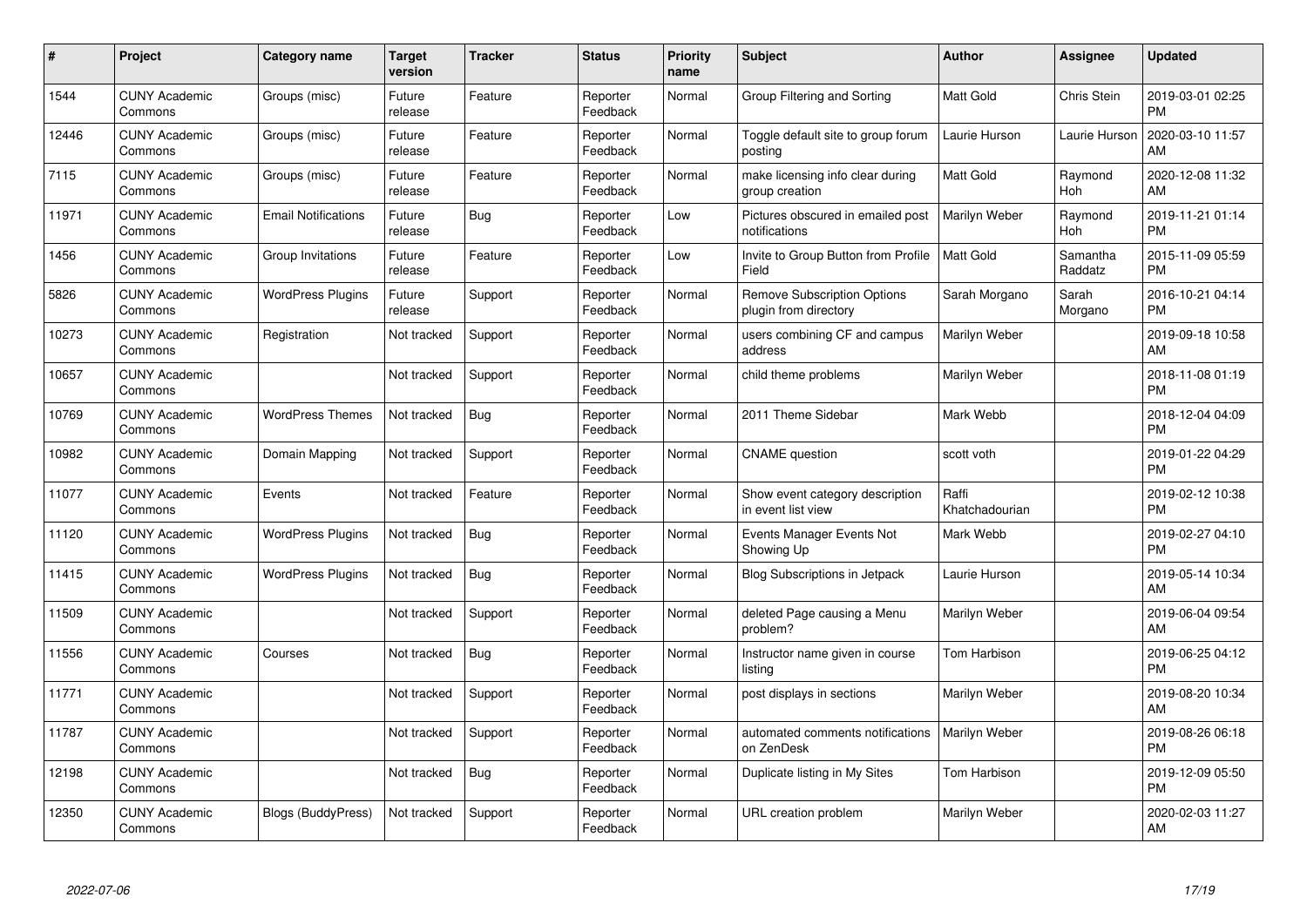| #     | Project                         | Category name              | <b>Target</b><br>version | <b>Tracker</b> | <b>Status</b>        | <b>Priority</b><br>name | <b>Subject</b>                                              | <b>Author</b>           | <b>Assignee</b>     | <b>Updated</b>                |
|-------|---------------------------------|----------------------------|--------------------------|----------------|----------------------|-------------------------|-------------------------------------------------------------|-------------------------|---------------------|-------------------------------|
| 1544  | <b>CUNY Academic</b><br>Commons | Groups (misc)              | Future<br>release        | Feature        | Reporter<br>Feedback | Normal                  | Group Filtering and Sorting                                 | <b>Matt Gold</b>        | Chris Stein         | 2019-03-01 02:25<br><b>PM</b> |
| 12446 | <b>CUNY Academic</b><br>Commons | Groups (misc)              | Future<br>release        | Feature        | Reporter<br>Feedback | Normal                  | Toggle default site to group forum<br>posting               | Laurie Hurson           | Laurie Hurson       | 2020-03-10 11:57<br>AM        |
| 7115  | <b>CUNY Academic</b><br>Commons | Groups (misc)              | Future<br>release        | Feature        | Reporter<br>Feedback | Normal                  | make licensing info clear during<br>group creation          | <b>Matt Gold</b>        | Raymond<br>Hoh      | 2020-12-08 11:32<br>AM        |
| 11971 | <b>CUNY Academic</b><br>Commons | <b>Email Notifications</b> | Future<br>release        | <b>Bug</b>     | Reporter<br>Feedback | Low                     | Pictures obscured in emailed post<br>notifications          | Marilyn Weber           | Raymond<br>Hoh      | 2019-11-21 01:14<br><b>PM</b> |
| 1456  | <b>CUNY Academic</b><br>Commons | Group Invitations          | Future<br>release        | Feature        | Reporter<br>Feedback | Low                     | Invite to Group Button from Profile<br>Field                | <b>Matt Gold</b>        | Samantha<br>Raddatz | 2015-11-09 05:59<br><b>PM</b> |
| 5826  | <b>CUNY Academic</b><br>Commons | <b>WordPress Plugins</b>   | Future<br>release        | Support        | Reporter<br>Feedback | Normal                  | <b>Remove Subscription Options</b><br>plugin from directory | Sarah Morgano           | Sarah<br>Morgano    | 2016-10-21 04:14<br><b>PM</b> |
| 10273 | <b>CUNY Academic</b><br>Commons | Registration               | Not tracked              | Support        | Reporter<br>Feedback | Normal                  | users combining CF and campus<br>address                    | Marilyn Weber           |                     | 2019-09-18 10:58<br>AM        |
| 10657 | <b>CUNY Academic</b><br>Commons |                            | Not tracked              | Support        | Reporter<br>Feedback | Normal                  | child theme problems                                        | Marilyn Weber           |                     | 2018-11-08 01:19<br><b>PM</b> |
| 10769 | <b>CUNY Academic</b><br>Commons | <b>WordPress Themes</b>    | Not tracked              | <b>Bug</b>     | Reporter<br>Feedback | Normal                  | 2011 Theme Sidebar                                          | Mark Webb               |                     | 2018-12-04 04:09<br><b>PM</b> |
| 10982 | <b>CUNY Academic</b><br>Commons | Domain Mapping             | Not tracked              | Support        | Reporter<br>Feedback | Normal                  | <b>CNAME</b> question                                       | scott voth              |                     | 2019-01-22 04:29<br><b>PM</b> |
| 11077 | <b>CUNY Academic</b><br>Commons | Events                     | Not tracked              | Feature        | Reporter<br>Feedback | Normal                  | Show event category description<br>in event list view       | Raffi<br>Khatchadourian |                     | 2019-02-12 10:38<br><b>PM</b> |
| 11120 | <b>CUNY Academic</b><br>Commons | <b>WordPress Plugins</b>   | Not tracked              | Bug            | Reporter<br>Feedback | Normal                  | Events Manager Events Not<br>Showing Up                     | Mark Webb               |                     | 2019-02-27 04:10<br><b>PM</b> |
| 11415 | <b>CUNY Academic</b><br>Commons | <b>WordPress Plugins</b>   | Not tracked              | <b>Bug</b>     | Reporter<br>Feedback | Normal                  | Blog Subscriptions in Jetpack                               | Laurie Hurson           |                     | 2019-05-14 10:34<br>AM        |
| 11509 | <b>CUNY Academic</b><br>Commons |                            | Not tracked              | Support        | Reporter<br>Feedback | Normal                  | deleted Page causing a Menu<br>problem?                     | Marilyn Weber           |                     | 2019-06-04 09:54<br>AM        |
| 11556 | <b>CUNY Academic</b><br>Commons | Courses                    | Not tracked              | Bug            | Reporter<br>Feedback | Normal                  | Instructor name given in course<br>listing                  | Tom Harbison            |                     | 2019-06-25 04:12<br><b>PM</b> |
| 11771 | <b>CUNY Academic</b><br>Commons |                            | Not tracked              | Support        | Reporter<br>Feedback | Normal                  | post displays in sections                                   | Marilyn Weber           |                     | 2019-08-20 10:34<br>AM        |
| 11787 | <b>CUNY Academic</b><br>Commons |                            | Not tracked              | Support        | Reporter<br>Feedback | Normal                  | automated comments notifications<br>on ZenDesk              | Marilyn Weber           |                     | 2019-08-26 06:18<br><b>PM</b> |
| 12198 | <b>CUNY Academic</b><br>Commons |                            | Not tracked              | Bug            | Reporter<br>Feedback | Normal                  | Duplicate listing in My Sites                               | Tom Harbison            |                     | 2019-12-09 05:50<br><b>PM</b> |
| 12350 | <b>CUNY Academic</b><br>Commons | <b>Blogs (BuddyPress)</b>  | Not tracked              | Support        | Reporter<br>Feedback | Normal                  | URL creation problem                                        | Marilyn Weber           |                     | 2020-02-03 11:27<br>AM        |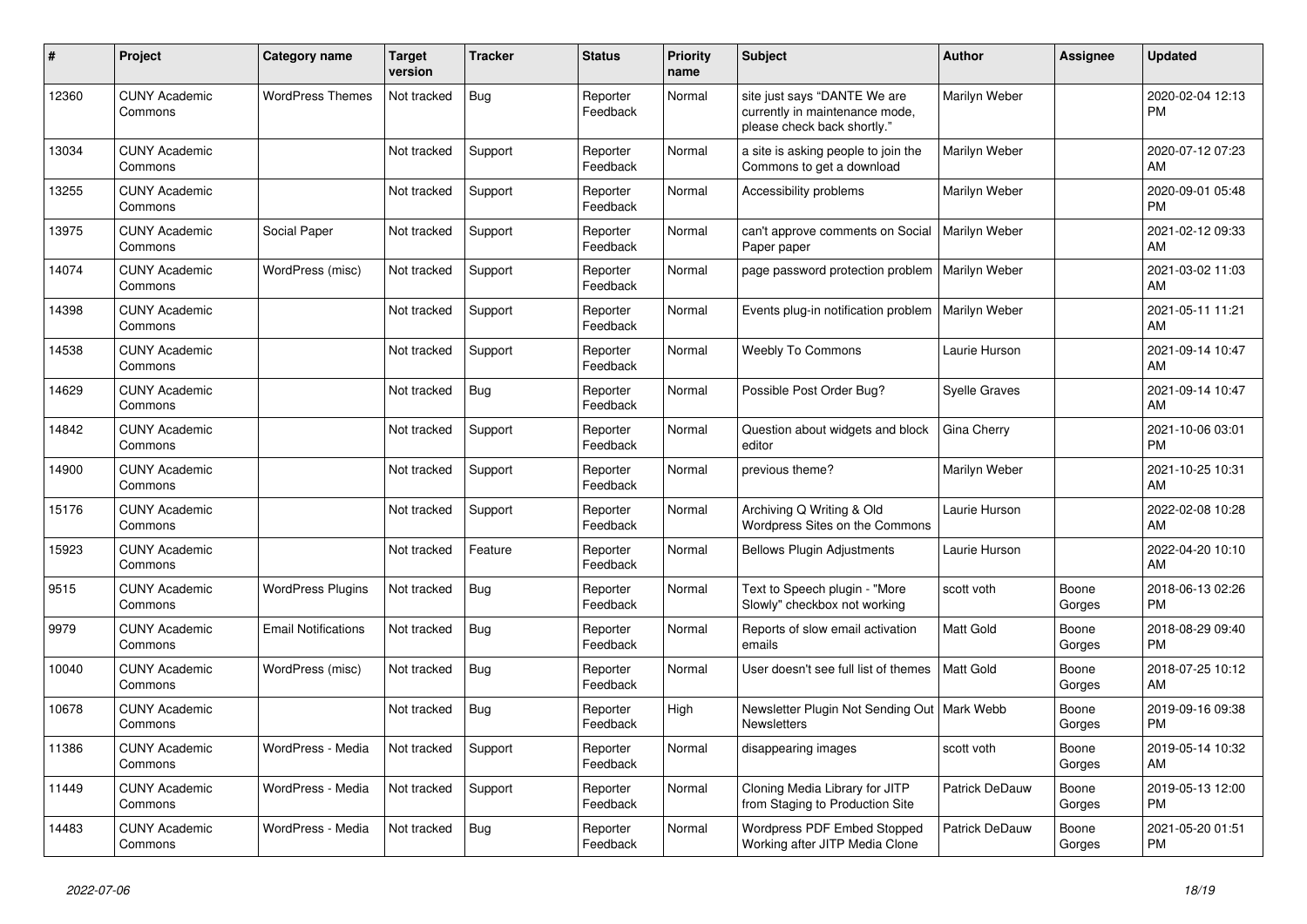| #     | Project                         | <b>Category name</b>       | <b>Target</b><br>version | <b>Tracker</b> | <b>Status</b>        | <b>Priority</b><br>name | <b>Subject</b>                                                                                | <b>Author</b>         | <b>Assignee</b> | <b>Updated</b>                |
|-------|---------------------------------|----------------------------|--------------------------|----------------|----------------------|-------------------------|-----------------------------------------------------------------------------------------------|-----------------------|-----------------|-------------------------------|
| 12360 | <b>CUNY Academic</b><br>Commons | <b>WordPress Themes</b>    | Not tracked              | <b>Bug</b>     | Reporter<br>Feedback | Normal                  | site just says "DANTE We are<br>currently in maintenance mode,<br>please check back shortly." | Marilyn Weber         |                 | 2020-02-04 12:13<br>PM        |
| 13034 | <b>CUNY Academic</b><br>Commons |                            | Not tracked              | Support        | Reporter<br>Feedback | Normal                  | a site is asking people to join the<br>Commons to get a download                              | Marilyn Weber         |                 | 2020-07-12 07:23<br>AM        |
| 13255 | <b>CUNY Academic</b><br>Commons |                            | Not tracked              | Support        | Reporter<br>Feedback | Normal                  | Accessibility problems                                                                        | Marilyn Weber         |                 | 2020-09-01 05:48<br>PM        |
| 13975 | <b>CUNY Academic</b><br>Commons | Social Paper               | Not tracked              | Support        | Reporter<br>Feedback | Normal                  | can't approve comments on Social<br>Paper paper                                               | Marilyn Weber         |                 | 2021-02-12 09:33<br>AM        |
| 14074 | <b>CUNY Academic</b><br>Commons | WordPress (misc)           | Not tracked              | Support        | Reporter<br>Feedback | Normal                  | page password protection problem                                                              | Marilyn Weber         |                 | 2021-03-02 11:03<br>AM        |
| 14398 | <b>CUNY Academic</b><br>Commons |                            | Not tracked              | Support        | Reporter<br>Feedback | Normal                  | Events plug-in notification problem                                                           | Marilyn Weber         |                 | 2021-05-11 11:21<br>AM        |
| 14538 | <b>CUNY Academic</b><br>Commons |                            | Not tracked              | Support        | Reporter<br>Feedback | Normal                  | <b>Weebly To Commons</b>                                                                      | Laurie Hurson         |                 | 2021-09-14 10:47<br>AM        |
| 14629 | <b>CUNY Academic</b><br>Commons |                            | Not tracked              | Bug            | Reporter<br>Feedback | Normal                  | Possible Post Order Bug?                                                                      | <b>Syelle Graves</b>  |                 | 2021-09-14 10:47<br>AM        |
| 14842 | <b>CUNY Academic</b><br>Commons |                            | Not tracked              | Support        | Reporter<br>Feedback | Normal                  | Question about widgets and block<br>editor                                                    | Gina Cherry           |                 | 2021-10-06 03:01<br><b>PM</b> |
| 14900 | <b>CUNY Academic</b><br>Commons |                            | Not tracked              | Support        | Reporter<br>Feedback | Normal                  | previous theme?                                                                               | Marilyn Weber         |                 | 2021-10-25 10:31<br>AM        |
| 15176 | <b>CUNY Academic</b><br>Commons |                            | Not tracked              | Support        | Reporter<br>Feedback | Normal                  | Archiving Q Writing & Old<br>Wordpress Sites on the Commons                                   | Laurie Hurson         |                 | 2022-02-08 10:28<br>AM        |
| 15923 | <b>CUNY Academic</b><br>Commons |                            | Not tracked              | Feature        | Reporter<br>Feedback | Normal                  | <b>Bellows Plugin Adjustments</b>                                                             | Laurie Hurson         |                 | 2022-04-20 10:10<br>AM        |
| 9515  | <b>CUNY Academic</b><br>Commons | <b>WordPress Plugins</b>   | Not tracked              | Bug            | Reporter<br>Feedback | Normal                  | Text to Speech plugin - "More<br>Slowly" checkbox not working                                 | scott voth            | Boone<br>Gorges | 2018-06-13 02:26<br><b>PM</b> |
| 9979  | <b>CUNY Academic</b><br>Commons | <b>Email Notifications</b> | Not tracked              | Bug            | Reporter<br>Feedback | Normal                  | Reports of slow email activation<br>emails                                                    | <b>Matt Gold</b>      | Boone<br>Gorges | 2018-08-29 09:40<br><b>PM</b> |
| 10040 | <b>CUNY Academic</b><br>Commons | WordPress (misc)           | Not tracked              | Bug            | Reporter<br>Feedback | Normal                  | User doesn't see full list of themes                                                          | Matt Gold             | Boone<br>Gorges | 2018-07-25 10:12<br>AM        |
| 10678 | <b>CUNY Academic</b><br>Commons |                            | Not tracked              | <b>Bug</b>     | Reporter<br>Feedback | High                    | Newsletter Plugin Not Sending Out   Mark Webb<br><b>Newsletters</b>                           |                       | Boone<br>Gorges | 2019-09-16 09:38<br><b>PM</b> |
| 11386 | <b>CUNY Academic</b><br>Commons | WordPress - Media          | Not tracked              | Support        | Reporter<br>Feedback | Normal                  | disappearing images                                                                           | scott voth            | Boone<br>Gorges | 2019-05-14 10:32<br>AM        |
| 11449 | <b>CUNY Academic</b><br>Commons | WordPress - Media          | Not tracked              | Support        | Reporter<br>Feedback | Normal                  | Cloning Media Library for JITP<br>from Staging to Production Site                             | Patrick DeDauw        | Boone<br>Gorges | 2019-05-13 12:00<br>PM        |
| 14483 | <b>CUNY Academic</b><br>Commons | WordPress - Media          | Not tracked              | Bug            | Reporter<br>Feedback | Normal                  | Wordpress PDF Embed Stopped<br>Working after JITP Media Clone                                 | <b>Patrick DeDauw</b> | Boone<br>Gorges | 2021-05-20 01:51<br>PM        |